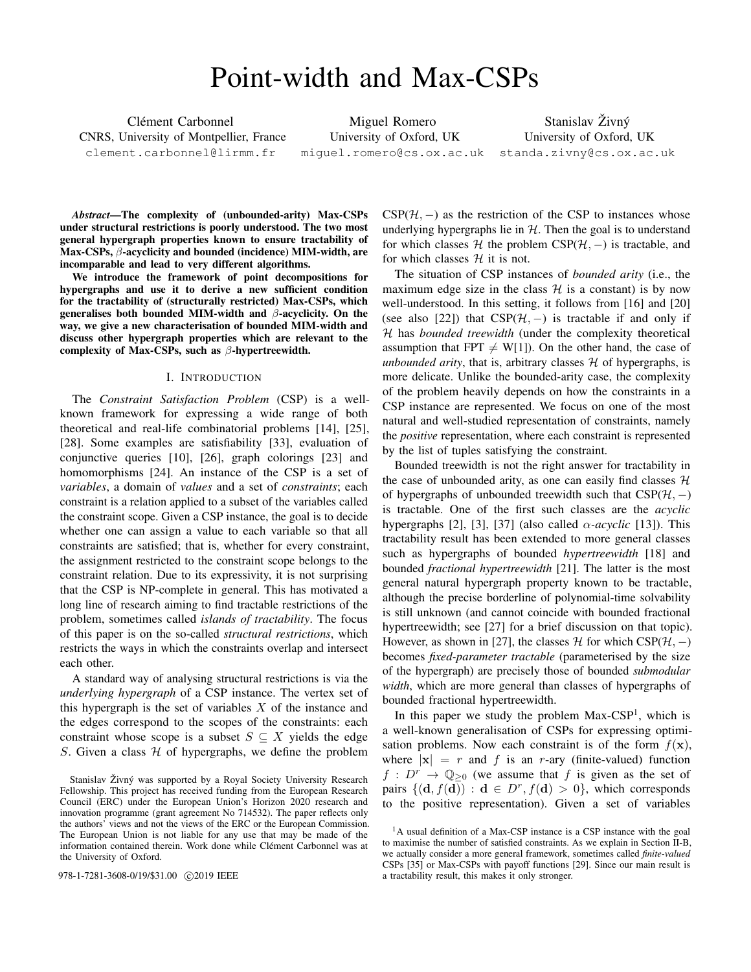# Point-width and Max-CSPs

Clément Carbonnel CNRS, University of Montpellier, France clement.carbonnel@lirmm.fr

Miguel Romero University of Oxford, UK miguel.romero@cs.ox.ac.uk

Stanislav Živný University of Oxford, UK standa.zivny@cs.ox.ac.uk

*Abstract*—The complexity of (unbounded-arity) Max-CSPs under structural restrictions is poorly understood. The two most general hypergraph properties known to ensure tractability of Max-CSPs, β-acyclicity and bounded (incidence) MIM-width, are incomparable and lead to very different algorithms.

We introduce the framework of point decompositions for hypergraphs and use it to derive a new sufficient condition for the tractability of (structurally restricted) Max-CSPs, which generalises both bounded MIM-width and  $\beta$ -acyclicity. On the way, we give a new characterisation of bounded MIM-width and discuss other hypergraph properties which are relevant to the complexity of Max-CSPs, such as  $\beta$ -hypertreewidth.

# I. INTRODUCTION

The *Constraint Satisfaction Problem* (CSP) is a wellknown framework for expressing a wide range of both theoretical and real-life combinatorial problems [14], [25], [28]. Some examples are satisfiability [33], evaluation of conjunctive queries [10], [26], graph colorings [23] and homomorphisms [24]. An instance of the CSP is a set of *variables*, a domain of *values* and a set of *constraints*; each constraint is a relation applied to a subset of the variables called the constraint scope. Given a CSP instance, the goal is to decide whether one can assign a value to each variable so that all constraints are satisfied; that is, whether for every constraint, the assignment restricted to the constraint scope belongs to the constraint relation. Due to its expressivity, it is not surprising that the CSP is NP-complete in general. This has motivated a long line of research aiming to find tractable restrictions of the problem, sometimes called *islands of tractability*. The focus of this paper is on the so-called *structural restrictions*, which restricts the ways in which the constraints overlap and intersect each other.

A standard way of analysing structural restrictions is via the *underlying hypergraph* of a CSP instance. The vertex set of this hypergraph is the set of variables  $X$  of the instance and the edges correspond to the scopes of the constraints: each constraint whose scope is a subset  $S \subseteq X$  yields the edge S. Given a class  $H$  of hypergraphs, we define the problem

 $CSP(\mathcal{H},-)$  as the restriction of the CSP to instances whose underlying hypergraphs lie in  $H$ . Then the goal is to understand for which classes  $H$  the problem CSP( $H$ , –) is tractable, and for which classes  $H$  it is not.

The situation of CSP instances of *bounded arity* (i.e., the maximum edge size in the class  $H$  is a constant) is by now well-understood. In this setting, it follows from [16] and [20] (see also [22]) that  $CSP(\mathcal{H},-)$  is tractable if and only if H has *bounded treewidth* (under the complexity theoretical assumption that FPT  $\neq$  W[1]). On the other hand, the case of *unbounded arity*, that is, arbitrary classes  $H$  of hypergraphs, is more delicate. Unlike the bounded-arity case, the complexity of the problem heavily depends on how the constraints in a CSP instance are represented. We focus on one of the most natural and well-studied representation of constraints, namely the *positive* representation, where each constraint is represented by the list of tuples satisfying the constraint.

Bounded treewidth is not the right answer for tractability in the case of unbounded arity, as one can easily find classes  $H$ of hypergraphs of unbounded treewidth such that  $CSP(H, -)$ is tractable. One of the first such classes are the *acyclic* hypergraphs [2], [3], [37] (also called  $\alpha$ -*acyclic* [13]). This tractability result has been extended to more general classes such as hypergraphs of bounded *hypertreewidth* [18] and bounded *fractional hypertreewidth* [21]. The latter is the most general natural hypergraph property known to be tractable, although the precise borderline of polynomial-time solvability is still unknown (and cannot coincide with bounded fractional hypertreewidth; see [27] for a brief discussion on that topic). However, as shown in [27], the classes  $H$  for which CSP( $H$ , −) becomes *fixed-parameter tractable* (parameterised by the size of the hypergraph) are precisely those of bounded *submodular width*, which are more general than classes of hypergraphs of bounded fractional hypertreewidth.

In this paper we study the problem  $Max-CSP<sup>1</sup>$ , which is a well-known generalisation of CSPs for expressing optimisation problems. Now each constraint is of the form  $f(\mathbf{x})$ , where  $|x| = r$  and f is an r-ary (finite-valued) function  $f: D^r \to \mathbb{Q}_{\geq 0}$  (we assume that f is given as the set of pairs  $\{(\mathbf{d}, f(\mathbf{d})) : \mathbf{d} \in D^r, f(\mathbf{d}) > 0\}$ , which corresponds to the positive representation). Given a set of variables

Stanislav Živný was supported by a Royal Society University Research Fellowship. This project has received funding from the European Research Council (ERC) under the European Union's Horizon 2020 research and innovation programme (grant agreement No 714532). The paper reflects only the authors' views and not the views of the ERC or the European Commission. The European Union is not liable for any use that may be made of the information contained therein. Work done while Clément Carbonnel was at the University of Oxford.

<sup>&</sup>lt;sup>1</sup>A usual definition of a Max-CSP instance is a CSP instance with the goal to maximise the number of satisfied constraints. As we explain in Section II-B, we actually consider a more general framework, sometimes called *finite-valued* CSPs [35] or Max-CSPs with payoff functions [29]. Since our main result is 978-1-7281-3608-0/19/\$31.00  $\odot$ 2019 IEEE a tractability result, this makes it only stronger.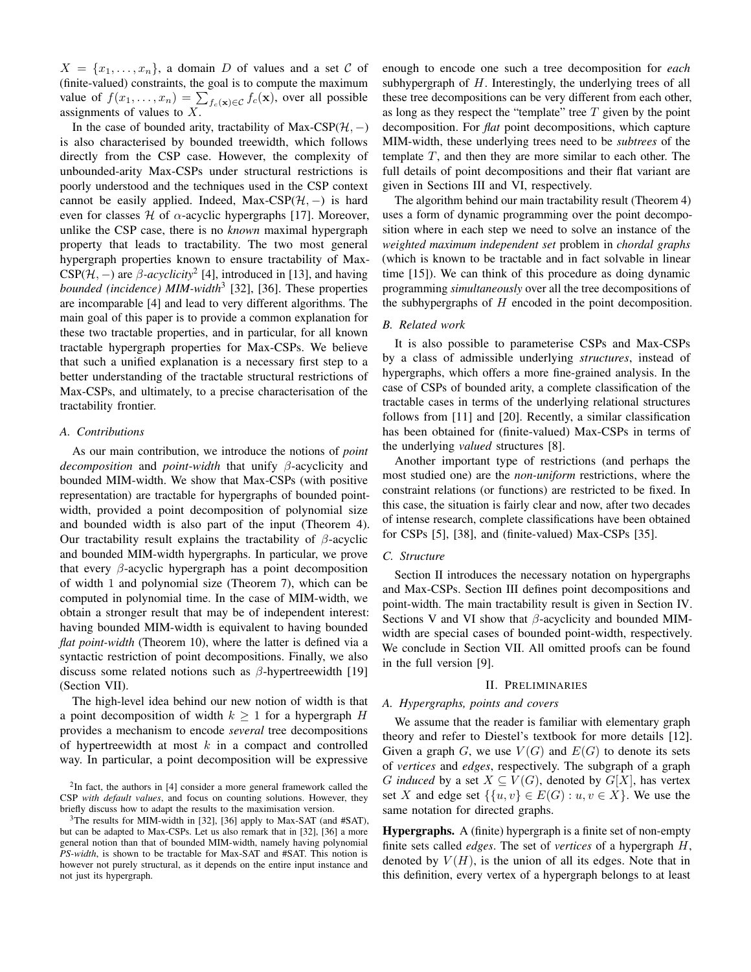$X = \{x_1, \ldots, x_n\}$ , a domain D of values and a set C of (finite-valued) constraints, the goal is to compute the maximum value of  $f(x_1, \ldots, x_n) = \sum_{f_c(\mathbf{x}) \in \mathcal{C}} f_c(\mathbf{x})$ , over all possible assignments of values to  $X$ .

In the case of bounded arity, tractability of Max-CSP( $H$ , –) is also characterised by bounded treewidth, which follows directly from the CSP case. However, the complexity of unbounded-arity Max-CSPs under structural restrictions is poorly understood and the techniques used in the CSP context cannot be easily applied. Indeed, Max-CSP( $H$ , –) is hard even for classes  $H$  of  $\alpha$ -acyclic hypergraphs [17]. Moreover, unlike the CSP case, there is no *known* maximal hypergraph property that leads to tractability. The two most general hypergraph properties known to ensure tractability of Max-CSP( $H$ ,  $-$ ) are  $\beta$ -*acyclicity*<sup>2</sup> [4], introduced in [13], and having *bounded (incidence) MIM-width*<sup>3</sup> [32], [36]. These properties are incomparable [4] and lead to very different algorithms. The main goal of this paper is to provide a common explanation for these two tractable properties, and in particular, for all known tractable hypergraph properties for Max-CSPs. We believe that such a unified explanation is a necessary first step to a better understanding of the tractable structural restrictions of Max-CSPs, and ultimately, to a precise characterisation of the tractability frontier.

# *A. Contributions*

As our main contribution, we introduce the notions of *point decomposition* and *point-width* that unify β-acyclicity and bounded MIM-width. We show that Max-CSPs (with positive representation) are tractable for hypergraphs of bounded pointwidth, provided a point decomposition of polynomial size and bounded width is also part of the input (Theorem 4). Our tractability result explains the tractability of  $\beta$ -acyclic and bounded MIM-width hypergraphs. In particular, we prove that every  $\beta$ -acyclic hypergraph has a point decomposition of width 1 and polynomial size (Theorem 7), which can be computed in polynomial time. In the case of MIM-width, we obtain a stronger result that may be of independent interest: having bounded MIM-width is equivalent to having bounded *flat point-width* (Theorem 10), where the latter is defined via a syntactic restriction of point decompositions. Finally, we also discuss some related notions such as  $\beta$ -hypertreewidth [19] (Section VII).

The high-level idea behind our new notion of width is that a point decomposition of width  $k \geq 1$  for a hypergraph H provides a mechanism to encode *several* tree decompositions of hypertreewidth at most  $k$  in a compact and controlled way. In particular, a point decomposition will be expressive enough to encode one such a tree decomposition for *each* subhypergraph of  $H$ . Interestingly, the underlying trees of all these tree decompositions can be very different from each other, as long as they respect the "template" tree  $T$  given by the point decomposition. For *flat* point decompositions, which capture MIM-width, these underlying trees need to be *subtrees* of the template  $T$ , and then they are more similar to each other. The full details of point decompositions and their flat variant are given in Sections III and VI, respectively.

The algorithm behind our main tractability result (Theorem 4) uses a form of dynamic programming over the point decomposition where in each step we need to solve an instance of the *weighted maximum independent set* problem in *chordal graphs* (which is known to be tractable and in fact solvable in linear time [15]). We can think of this procedure as doing dynamic programming *simultaneously* over all the tree decompositions of the subhypergraphs of  $H$  encoded in the point decomposition.

# *B. Related work*

It is also possible to parameterise CSPs and Max-CSPs by a class of admissible underlying *structures*, instead of hypergraphs, which offers a more fine-grained analysis. In the case of CSPs of bounded arity, a complete classification of the tractable cases in terms of the underlying relational structures follows from [11] and [20]. Recently, a similar classification has been obtained for (finite-valued) Max-CSPs in terms of the underlying *valued* structures [8].

Another important type of restrictions (and perhaps the most studied one) are the *non-uniform* restrictions, where the constraint relations (or functions) are restricted to be fixed. In this case, the situation is fairly clear and now, after two decades of intense research, complete classifications have been obtained for CSPs [5], [38], and (finite-valued) Max-CSPs [35].

# *C. Structure*

Section II introduces the necessary notation on hypergraphs and Max-CSPs. Section III defines point decompositions and point-width. The main tractability result is given in Section IV. Sections V and VI show that  $\beta$ -acyclicity and bounded MIMwidth are special cases of bounded point-width, respectively. We conclude in Section VII. All omitted proofs can be found in the full version [9].

### II. PRELIMINARIES

# *A. Hypergraphs, points and covers*

We assume that the reader is familiar with elementary graph theory and refer to Diestel's textbook for more details [12]. Given a graph G, we use  $V(G)$  and  $E(G)$  to denote its sets of *vertices* and *edges*, respectively. The subgraph of a graph G *induced* by a set  $X \subseteq V(G)$ , denoted by  $G[X]$ , has vertex set X and edge set  $\{ \{u, v\} \in E(G) : u, v \in X \}$ . We use the same notation for directed graphs.

Hypergraphs. A (finite) hypergraph is a finite set of non-empty finite sets called *edges*. The set of *vertices* of a hypergraph H, denoted by  $V(H)$ , is the union of all its edges. Note that in this definition, every vertex of a hypergraph belongs to at least

 $2$ In fact, the authors in [4] consider a more general framework called the CSP *with default values*, and focus on counting solutions. However, they briefly discuss how to adapt the results to the maximisation version.

 $3$ The results for MIM-width in [32], [36] apply to Max-SAT (and #SAT), but can be adapted to Max-CSPs. Let us also remark that in [32], [36] a more general notion than that of bounded MIM-width, namely having polynomial *PS-width*, is shown to be tractable for Max-SAT and #SAT. This notion is however not purely structural, as it depends on the entire input instance and not just its hypergraph.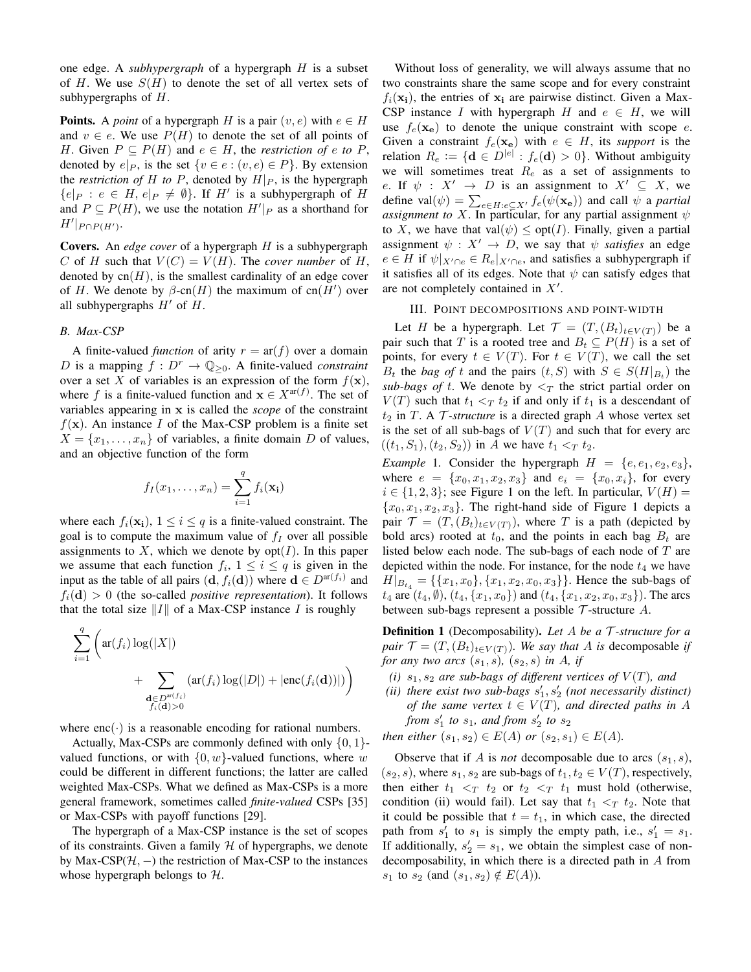one edge. A *subhypergraph* of a hypergraph H is a subset of H. We use  $S(H)$  to denote the set of all vertex sets of subhypergraphs of H.

**Points.** A *point* of a hypergraph H is a pair  $(v, e)$  with  $e \in H$ and  $v \in e$ . We use  $P(H)$  to denote the set of all points of H. Given  $P \subseteq P(H)$  and  $e \in H$ , the *restriction of*  $e$  to  $P$ , denoted by  $e|_P$ , is the set  $\{v \in e : (v, e) \in P\}$ . By extension the *restriction of* H *to* P, denoted by  $H|_P$ , is the hypergraph  ${e|_P : e \in H, e|_P \neq \emptyset}.$  If H' is a subhypergraph of H and  $P \subseteq P(H)$ , we use the notation  $H'|_P$  as a shorthand for  $H'|_{P \cap P(H')}$ .

Covers. An *edge cover* of a hypergraph H is a subhypergraph C of H such that  $V(C) = V(H)$ . The *cover number* of H, denoted by  $cn(H)$ , is the smallest cardinality of an edge cover of H. We denote by  $\beta$ -cn(H) the maximum of cn(H') over all subhypergraphs  $H'$  of  $H$ .

# *B. Max-CSP*

A finite-valued *function* of arity  $r = ar(f)$  over a domain D is a mapping  $f: D^r \to \mathbb{Q}_{\geq 0}$ . A finite-valued *constraint* over a set X of variables is an expression of the form  $f(\mathbf{x})$ , where f is a finite-valued function and  $\mathbf{x} \in X^{\text{ar}(f)}$ . The set of variables appearing in x is called the *scope* of the constraint  $f(\mathbf{x})$ . An instance I of the Max-CSP problem is a finite set  $X = \{x_1, \ldots, x_n\}$  of variables, a finite domain D of values, and an objective function of the form

$$
f_I(x_1,\ldots,x_n)=\sum_{i=1}^q f_i(\mathbf{x_i})
$$

where each  $f_i(\mathbf{x_i})$ ,  $1 \leq i \leq q$  is a finite-valued constraint. The goal is to compute the maximum value of  $f_I$  over all possible assignments to X, which we denote by  $opt(I)$ . In this paper we assume that each function  $f_i$ ,  $1 \leq i \leq q$  is given in the input as the table of all pairs  $(\mathbf{d}, f_i(\mathbf{d}))$  where  $\mathbf{d} \in D^{\text{ar}(f_i)}$  and  $f_i(\mathbf{d}) > 0$  (the so-called *positive representation*). It follows that the total size  $||I||$  of a Max-CSP instance I is roughly

$$
\sum_{i=1}^{q} \left( \operatorname{ar}(f_i) \log(|X|) + \sum_{\substack{\mathbf{d} \in D^{\operatorname{nr}(f_i)} \\ f_i(\mathbf{d}) > 0}} (\operatorname{ar}(f_i) \log(|D|) + |\operatorname{enc}(f_i(\mathbf{d}))|) \right)
$$

where  $enc(\cdot)$  is a reasonable encoding for rational numbers.

Actually, Max-CSPs are commonly defined with only  $\{0, 1\}$ valued functions, or with  $\{0, w\}$ -valued functions, where w could be different in different functions; the latter are called weighted Max-CSPs. What we defined as Max-CSPs is a more general framework, sometimes called *finite-valued* CSPs [35] or Max-CSPs with payoff functions [29].

The hypergraph of a Max-CSP instance is the set of scopes of its constraints. Given a family  $H$  of hypergraphs, we denote by Max-CSP( $H$ ,  $-$ ) the restriction of Max-CSP to the instances whose hypergraph belongs to  $H$ .

Without loss of generality, we will always assume that no two constraints share the same scope and for every constraint  $f_i(\mathbf{x_i})$ , the entries of  $\mathbf{x_i}$  are pairwise distinct. Given a Max-CSP instance I with hypergraph H and  $e \in H$ , we will use  $f_e(\mathbf{x_e})$  to denote the unique constraint with scope e. Given a constraint  $f_e(\mathbf{x_e})$  with  $e \in H$ , its *support* is the relation  $R_e := \{ \mathbf{d} \in D^{|e|} : f_e(\mathbf{d}) > 0 \}.$  Without ambiguity we will sometimes treat  $R_e$  as a set of assignments to e. If  $\psi : X' \to D$  is an assignment to  $X' \subseteq X$ , we define val $(\psi) = \sum_{e \in H : e \subseteq X'} f_e(\psi(\mathbf{x_e}))$  and call  $\psi$  a *partial assignment to* X. In particular, for any partial assignment  $\psi$ to X, we have that val $(\psi) \leq \text{opt}(I)$ . Finally, given a partial assignment  $\psi : X' \to D$ , we say that  $\psi$  *satisfies* an edge  $e \in H$  if  $\psi|_{X' \cap e} \in R_e|_{X' \cap e}$ , and satisfies a subhypergraph if it satisfies all of its edges. Note that  $\psi$  can satisfy edges that are not completely contained in  $X'$ .

# III. POINT DECOMPOSITIONS AND POINT-WIDTH

Let H be a hypergraph. Let  $\mathcal{T} = (T,(B_t)_{t \in V(T)})$  be a pair such that T is a rooted tree and  $B_t \subseteq P(H)$  is a set of points, for every  $t \in V(T)$ . For  $t \in V(T)$ , we call the set  $B_t$  the *bag of* t and the pairs  $(t, S)$  with  $S \in S(H|_{B_t})$  the *sub-bags of t.* We denote by  $\leq_T$  the strict partial order on  $V(T)$  such that  $t_1 <_T t_2$  if and only if  $t_1$  is a descendant of  $t_2$  in T. A  $\mathcal T$ *-structure* is a directed graph  $A$  whose vertex set is the set of all sub-bags of  $V(T)$  and such that for every arc  $((t_1, S_1), (t_2, S_2))$  in A we have  $t_1 <_T t_2$ .

*Example* 1. Consider the hypergraph  $H = \{e, e_1, e_2, e_3\}$ , where  $e = \{x_0, x_1, x_2, x_3\}$  and  $e_i = \{x_0, x_i\}$ , for every  $i \in \{1, 2, 3\}$ ; see Figure 1 on the left. In particular,  $V(H) =$  ${x_0, x_1, x_2, x_3}$ . The right-hand side of Figure 1 depicts a pair  $\mathcal{T} = (T, (B_t)_{t \in V(T)})$ , where T is a path (depicted by bold arcs) rooted at  $t_0$ , and the points in each bag  $B_t$  are listed below each node. The sub-bags of each node of T are depicted within the node. For instance, for the node  $t_4$  we have  $H|_{B_{t_4}} = \{\{x_1, x_0\}, \{x_1, x_2, x_0, x_3\}\}\.$  Hence the sub-bags of  $t_4$  are  $(t_4, \emptyset)$ ,  $(t_4, \{x_1, x_0\})$  and  $(t_4, \{x_1, x_2, x_0, x_3\})$ . The arcs between sub-bags represent a possible  $\mathcal T$ -structure  $A$ .

Definition 1 (Decomposability). *Let* A *be a* T *-structure for a pair*  $\mathcal{T} = (T, (B_t)_{t \in V(T)})$ *. We say that A is* decomposable *if for any two arcs*  $(s_1, s)$ *,*  $(s_2, s)$  *in A, if* 

- *(i)*  $s_1$ ,  $s_2$  *are sub-bags of different vertices of*  $V(T)$ *, and*
- (*ii*) there exist two sub-bags  $s'_1, s'_2$  (not necessarily distinct) *of the same vertex*  $t \in V(T)$ *, and directed paths in* A from  $s_1'$  to  $s_1$ , and from  $s_2'$  to  $s_2$

*then either*  $(s_1, s_2) \in E(A)$  *or*  $(s_2, s_1) \in E(A)$ *.* 

Observe that if A is *not* decomposable due to arcs  $(s_1, s)$ ,  $(s_2, s)$ , where  $s_1, s_2$  are sub-bags of  $t_1, t_2 \in V(T)$ , respectively, then either  $t_1 < T_1$  t<sub>2</sub> or  $t_2 < T_1$  must hold (otherwise, condition (ii) would fail). Let say that  $t_1 <_T t_2$ . Note that it could be possible that  $t = t_1$ , in which case, the directed path from  $s'_1$  to  $s_1$  is simply the empty path, i.e.,  $s'_1 = s_1$ . If additionally,  $s'_2 = s_1$ , we obtain the simplest case of nondecomposability, in which there is a directed path in A from  $s_1$  to  $s_2$  (and  $(s_1, s_2) \notin E(A)$ ).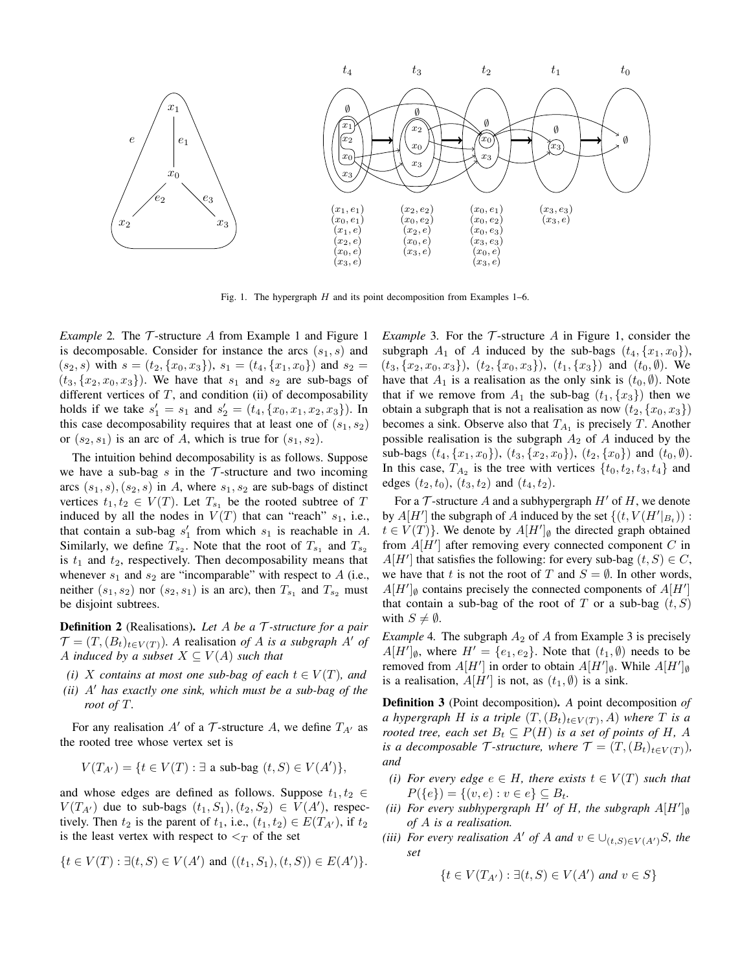

Fig. 1. The hypergraph  $H$  and its point decomposition from Examples 1–6.

*Example* 2. The  $\mathcal T$ -structure A from Example 1 and Figure 1 is decomposable. Consider for instance the arcs  $(s_1, s)$  and  $(s_2, s)$  with  $s = (t_2, \{x_0, x_3\})$ ,  $s_1 = (t_4, \{x_1, x_0\})$  and  $s_2 =$  $(t_3, \{x_2, x_0, x_3\})$ . We have that  $s_1$  and  $s_2$  are sub-bags of different vertices of  $T$ , and condition (ii) of decomposability holds if we take  $s'_1 = s_1$  and  $s'_2 = (t_4, \{x_0, x_1, x_2, x_3\})$ . In this case decomposability requires that at least one of  $(s_1, s_2)$ or  $(s_2, s_1)$  is an arc of A, which is true for  $(s_1, s_2)$ .

The intuition behind decomposability is as follows. Suppose we have a sub-bag  $s$  in the  $\mathcal T$ -structure and two incoming arcs  $(s_1, s), (s_2, s)$  in A, where  $s_1, s_2$  are sub-bags of distinct vertices  $t_1, t_2 \in V(T)$ . Let  $T_{s_1}$  be the rooted subtree of T induced by all the nodes in  $V(T)$  that can "reach"  $s_1$ , i.e., that contain a sub-bag  $s'_1$  from which  $s_1$  is reachable in A. Similarly, we define  $T_{s_2}$ . Note that the root of  $T_{s_1}$  and  $T_{s_2}$ is  $t_1$  and  $t_2$ , respectively. Then decomposability means that whenever  $s_1$  and  $s_2$  are "incomparable" with respect to A (i.e., neither  $(s_1, s_2)$  nor  $(s_2, s_1)$  is an arc), then  $T_{s_1}$  and  $T_{s_2}$  must be disjoint subtrees.

Definition 2 (Realisations). *Let* A *be a* T *-structure for a pair*  $\mathcal{T} = (T, (B_t)_{t \in V(T)})$ . A realisation *of* A *is a subgraph* A' *of* A *induced by a subset*  $X \subseteq V(A)$  *such that* 

- *(i)* X contains at most one sub-bag of each  $t \in V(T)$ , and
- $(ii)$   $A'$  has exactly one sink, which must be a sub-bag of the *root of* T*.*

For any realisation  $A'$  of a  $\mathcal T$ -structure A, we define  $T_{A'}$  as the rooted tree whose vertex set is

$$
V(T_{A'}) = \{ t \in V(T) : \exists \text{ a sub-bag } (t, S) \in V(A') \},
$$

and whose edges are defined as follows. Suppose  $t_1, t_2 \in$  $V(T_{A'})$  due to sub-bags  $(t_1, S_1), (t_2, S_2) \in V(A')$ , respectively. Then  $t_2$  is the parent of  $t_1$ , i.e.,  $(t_1, t_2) \in E(T_{A'})$ , if  $t_2$ is the least vertex with respect to  $\lt_T$  of the set

$$
\{t \in V(T) : \exists (t, S) \in V(A') \text{ and } ((t_1, S_1), (t, S)) \in E(A')\}.
$$

*Example* 3. For the  $\mathcal T$ -structure A in Figure 1, consider the subgraph  $A_1$  of A induced by the sub-bags  $(t_4, \{x_1, x_0\})$ ,  $(t_3, \{x_2, x_0, x_3\}), (t_2, \{x_0, x_3\}), (t_1, \{x_3\})$  and  $(t_0, \emptyset)$ . We have that  $A_1$  is a realisation as the only sink is  $(t_0, \emptyset)$ . Note that if we remove from  $A_1$  the sub-bag  $(t_1, \{x_3\})$  then we obtain a subgraph that is not a realisation as now  $(t_2, \{x_0, x_3\})$ becomes a sink. Observe also that  $T_{A_1}$  is precisely T. Another possible realisation is the subgraph  $A_2$  of A induced by the sub-bags  $(t_4, \{x_1, x_0\})$ ,  $(t_3, \{x_2, x_0\})$ ,  $(t_2, \{x_0\})$  and  $(t_0, \emptyset)$ . In this case,  $T_{A_2}$  is the tree with vertices  $\{t_0, t_2, t_3, t_4\}$  and edges  $(t_2, t_0)$ ,  $(t_3, t_2)$  and  $(t_4, t_2)$ .

For a  $\mathcal T$ -structure A and a subhypergraph  $H'$  of H, we denote by  $A[H']$  the subgraph of A induced by the set  $\{(t, V(H'|_{B_t}))$ :  $t \in V(T)$ . We denote by  $A[H']_{\emptyset}$  the directed graph obtained from  $A[H']$  after removing every connected component  $C$  in  $A[H']$  that satisfies the following: for every sub-bag  $(t, S) \in C$ , we have that t is not the root of T and  $S = \emptyset$ . In other words,  $A[H']$ <sub>0</sub> contains precisely the connected components of  $A[H']$ that contain a sub-bag of the root of T or a sub-bag  $(t, S)$ with  $S \neq \emptyset$ .

*Example* 4. The subgraph  $A_2$  of A from Example 3 is precisely  $A[H']_{\emptyset}$ , where  $H' = \{e_1, e_2\}$ . Note that  $(t_1, \emptyset)$  needs to be removed from  $A[H']$  in order to obtain  $A[H']_{\emptyset}$ . While  $A[H']_{\emptyset}$ is a realisation,  $A[H']$  is not, as  $(t_1, \emptyset)$  is a sink.

Definition 3 (Point decomposition). *A* point decomposition *of a* hypergraph H is a triple  $(T,(B_t)_{t\in V(T)}, A)$  where T is a *rooted tree, each set*  $B_t \subseteq P(H)$  *is a set of points of H, A is a decomposable*  $\mathcal{T}$ *-structure, where*  $\mathcal{T} = (T, (B_t)_{t \in V(T)})$ *, and*

- *(i)* For every edge  $e \in H$ , there exists  $t \in V(T)$  such that  $P({e}) = {(v, e) : v \in e} \subseteq B_t.$
- *(ii)* For every subhypergraph  $H'$  of  $H$ , the subgraph  $A[H']$ <sub>0</sub> *of* A *is a realisation.*
- *(iii) For every realisation* A' *of* A *and*  $v \in \bigcup_{(t,S) \in V(A')} S$ *, the set*

$$
\{t \in V(T_{A'}): \exists (t, S) \in V(A') \text{ and } v \in S\}
$$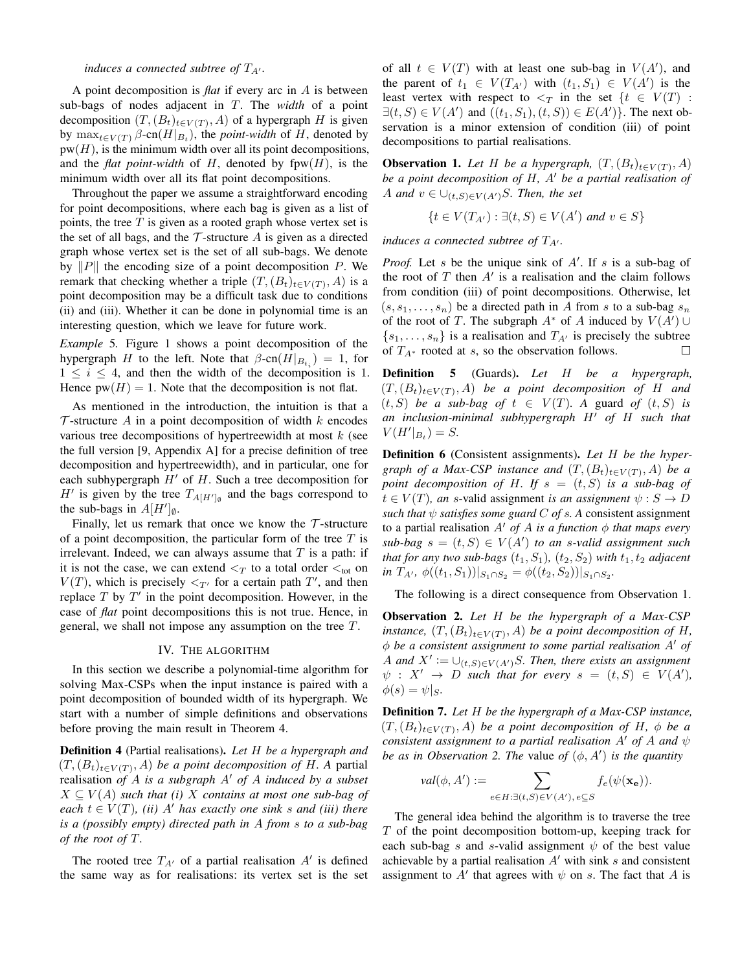# *induces a connected subtree of*  $T_{A'}$ *.*

A point decomposition is *flat* if every arc in A is between sub-bags of nodes adjacent in T. The *width* of a point decomposition  $(T, (B_t)_{t \in V(T)}, A)$  of a hypergraph H is given by  $\max_{t \in V(T)} \beta$ -cn $(H|_{B_t})$ , the *point-width* of H, denoted by  $pw(H)$ , is the minimum width over all its point decompositions, and the *flat point-width* of H, denoted by  $fpw(H)$ , is the minimum width over all its flat point decompositions.

Throughout the paper we assume a straightforward encoding for point decompositions, where each bag is given as a list of points, the tree  $T$  is given as a rooted graph whose vertex set is the set of all bags, and the  $\mathcal T$ -structure  $A$  is given as a directed graph whose vertex set is the set of all sub-bags. We denote by  $||P||$  the encoding size of a point decomposition P. We remark that checking whether a triple  $(T,(B_t)_{t\in V(T)}, A)$  is a point decomposition may be a difficult task due to conditions (ii) and (iii). Whether it can be done in polynomial time is an interesting question, which we leave for future work.

*Example* 5*.* Figure 1 shows a point decomposition of the hypergraph H to the left. Note that  $\beta$ -cn $(H|_{B_{t_i}}) = 1$ , for  $1 \leq i \leq 4$ , and then the width of the decomposition is 1. Hence  $pw(H) = 1$ . Note that the decomposition is not flat.

As mentioned in the introduction, the intuition is that a  $\mathcal T$ -structure A in a point decomposition of width k encodes various tree decompositions of hypertreewidth at most  $k$  (see the full version [9, Appendix A] for a precise definition of tree decomposition and hypertreewidth), and in particular, one for each subhypergraph  $H'$  of  $H$ . Such a tree decomposition for  $H'$  is given by the tree  $T_{A[H']_\emptyset}$  and the bags correspond to the sub-bags in  $A[H']_{\emptyset}$ .

Finally, let us remark that once we know the  $\mathcal T$ -structure of a point decomposition, the particular form of the tree  $T$  is irrelevant. Indeed, we can always assume that  $T$  is a path: if it is not the case, we can extend  $\lt_T$  to a total order  $\lt_{\text{tot}}$  on  $V(T)$ , which is precisely  $\langle T \rangle$  for a certain path T', and then replace  $T$  by  $T'$  in the point decomposition. However, in the case of *flat* point decompositions this is not true. Hence, in general, we shall not impose any assumption on the tree T.

#### IV. THE ALGORITHM

In this section we describe a polynomial-time algorithm for solving Max-CSPs when the input instance is paired with a point decomposition of bounded width of its hypergraph. We start with a number of simple definitions and observations before proving the main result in Theorem 4.

Definition 4 (Partial realisations). *Let* H *be a hypergraph and*  $(T,(B_t)_{t\in V(T)},A)$  *be a point decomposition of H.A.* partial realisation *of* A *is a subgraph* A' *of* A *induced by a subset*  $X \subseteq V(A)$  *such that (i)* X *contains at most one sub-bag of each*  $t \in V(T)$ , *(ii)* A' *has exactly one sink s and (iii) there is a (possibly empty) directed path in* A *from* s *to a sub-bag of the root of* T*.*

The rooted tree  $T_{A'}$  of a partial realisation  $A'$  is defined the same way as for realisations: its vertex set is the set of all  $t \in V(T)$  with at least one sub-bag in  $V(A')$ , and the parent of  $t_1 \in V(T_{A'})$  with  $(t_1, S_1) \in V(A')$  is the least vertex with respect to  $\leq_T$  in the set  $\{t \in V(T)$ :  $\exists (t, S) \in V(A')$  and  $((t_1, S_1), (t, S)) \in E(A')\}$ . The next observation is a minor extension of condition (iii) of point decompositions to partial realisations.

**Observation 1.** Let H be a hypergraph,  $(T, (B_t)_{t \in V(T)}, A)$ *be a point decomposition of H, A' be a partial realisation of* A and  $v \in \bigcup_{(t,S) \in V(A')} S$ . Then, the set

$$
\{t \in V(T_{A'}): \exists (t, S) \in V(A') \text{ and } v \in S\}
$$

*induces a connected subtree of*  $T_{A'}$ *.* 

*Proof.* Let s be the unique sink of  $A'$ . If s is a sub-bag of the root of  $T$  then  $A'$  is a realisation and the claim follows from condition (iii) of point decompositions. Otherwise, let  $(s, s_1, \ldots, s_n)$  be a directed path in A from s to a sub-bag  $s_n$ of the root of T. The subgraph  $A^*$  of A induced by  $V(A') \cup$  $\{s_1, \ldots, s_n\}$  is a realisation and  $T_{A'}$  is precisely the subtree of  $T_{A^*}$  rooted at s, so the observation follows.  $\Box$ 

Definition 5 (Guards). *Let* H *be a hypergraph,*  $(T,(B_t)_{t\in V(T)},A)$  *be a point decomposition of* H *and*  $(t, S)$  *be a sub-bag of*  $t \in V(T)$ *. A guard of*  $(t, S)$  *is an inclusion-minimal subhypergraph*  $H'$  *of*  $H$  *such that*  $V(H'|_{B_t}) = S.$ 

Definition 6 (Consistent assignments). *Let* H *be the hypergraph of a Max-CSP instance and*  $(T,(B_t)_{t\in V(T)}, A)$  *be a point decomposition of H. If*  $s = (t, S)$  *is a sub-bag of*  $t \in V(T)$ , an s-valid assignment *is an assignment*  $\psi : S \to D$ *such that*  $\psi$  *satisfies some guard*  $C$  *of s. A* consistent assignment to a partial realisation  $A'$  *of* A *is a function*  $\phi$  *that maps every*  $sub-bag$   $s = (t, S) \in V(A')$  *to an s-valid assignment such that for any two sub-bags*  $(t_1, S_1)$ ,  $(t_2, S_2)$  *with*  $t_1, t_2$  *adjacent in*  $T_{A'}$ ,  $\phi((t_1, S_1))|_{S_1 \cap S_2} = \phi((t_2, S_2))|_{S_1 \cap S_2}$ .

The following is a direct consequence from Observation 1.

Observation 2. *Let* H *be the hypergraph of a Max-CSP instance,*  $(T, (B_t)_{t \in V(T)}, A)$  *be a point decomposition of H,*  $\phi$  be a consistent assignment to some partial realisation  $A'$  of A and  $X' := \bigcup_{(t,S) \in V(A')} S$ . Then, there exists an assignment  $\psi$  :  $X' \rightarrow D$  *such that for every*  $s = (t, S) \in V(A')$ ,  $\phi(s) = \psi|_{S}.$ 

Definition 7. *Let* H *be the hypergraph of a Max-CSP instance,*  $(T,(B_t)_{t\in V(T)}, A)$  *be a point decomposition of* H,  $\phi$  *be a consistent assignment to a partial realisation*  $A'$  *of*  $A$  *and*  $\psi$ *be as in Observation 2. The value of*  $(\phi, A')$  *is the quantity* 

$$
val(\phi, A') := \sum_{e \in H: \exists (t, S) \in V(A'), e \subseteq S} f_e(\psi(\mathbf{x}_e)).
$$

The general idea behind the algorithm is to traverse the tree  $T$  of the point decomposition bottom-up, keeping track for each sub-bag s and s-valid assignment  $\psi$  of the best value achievable by a partial realisation  $A'$  with sink s and consistent assignment to A' that agrees with  $\psi$  on s. The fact that A is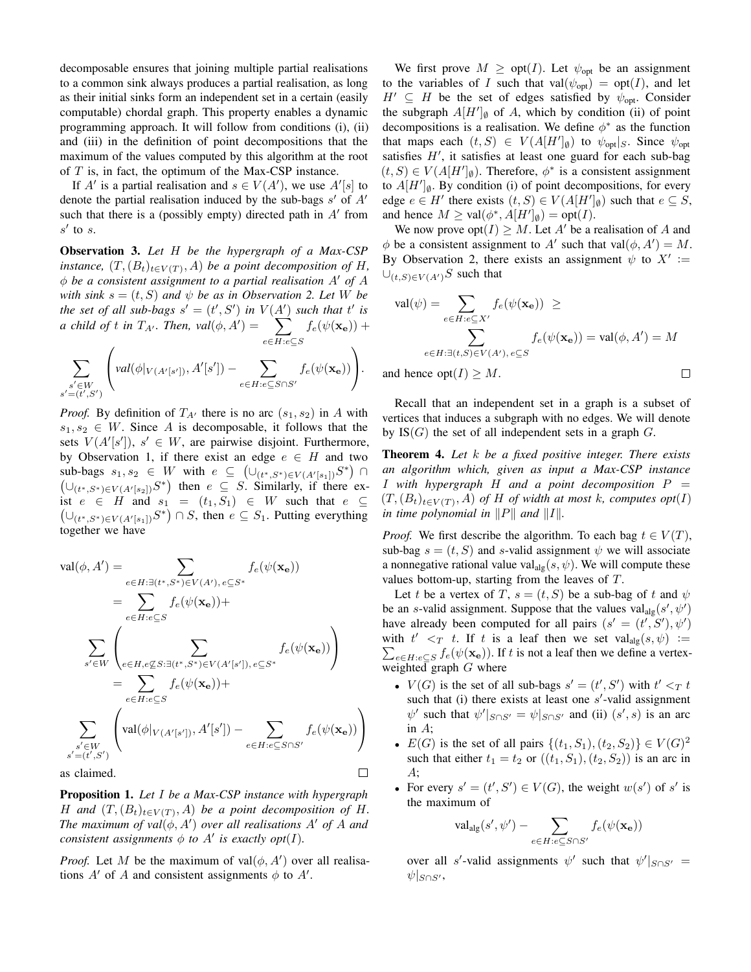decomposable ensures that joining multiple partial realisations to a common sink always produces a partial realisation, as long as their initial sinks form an independent set in a certain (easily computable) chordal graph. This property enables a dynamic programming approach. It will follow from conditions (i), (ii) and (iii) in the definition of point decompositions that the maximum of the values computed by this algorithm at the root of  $T$  is, in fact, the optimum of the Max-CSP instance.

If A' is a partial realisation and  $s \in V(A')$ , we use  $A'[s]$  to denote the partial realisation induced by the sub-bags  $s'$  of  $A'$ such that there is a (possibly empty) directed path in  $A'$  from  $s'$  to s.

Observation 3. *Let* H *be the hypergraph of a Max-CSP instance,*  $(T,(B_t)_{t\in V(T)}, A)$  *be a point decomposition of H*,  $\phi$  be a consistent assignment to a partial realisation  $A'$  of  $A$ *with sink*  $s = (t, S)$  *and*  $\psi$  *be as in Observation 2. Let* W *be the set of all sub-bags*  $s' = (t', S')$  *in*  $V(A')$  *such that*  $t'$  *is a* child of t in  $T_{A'}$ . Then,  $val(\phi, A') = \sum$ e∈H:e⊆S  $f_e(\psi({\mathbf{x}}_{\mathbf{e}}))$  +

$$
\sum_{\substack{s' \in W \\ s' = (t',S')}} \Bigg( val(\phi|_{V(A'[s'])}, A'[s']) - \sum_{e \in H: e \subseteq S \cap S'} f_e(\psi(\mathbf{x_e})) \Bigg).
$$

*Proof.* By definition of  $T_{A}$  there is no arc  $(s_1, s_2)$  in A with  $s_1, s_2 \in W$ . Since A is decomposable, it follows that the sets  $V(A'[s'])$ ,  $s' \in W$ , are pairwise disjoint. Furthermore, by Observation 1, if there exist an edge  $e \in H$  and two sub-bags  $s_1, s_2 \in W$  with  $e \subseteq (\cup_{(t^*, S^*) \in V(A'[s_1])} S^*) \cap$  $(\cup_{(t^*,S^*)\in V(A'[s_2])}S^*)$  then  $e\subseteq S$ . Similarly, if there exist  $e \in H$  and  $s_1 = (t_1, S_1) \in W$  such that  $e \subseteq$  $(\cup_{(t^*,S^*)\in V(A'[s_1])}S^*)\cap S$ , then  $e\subseteq S_1$ . Putting everything together we have

$$
\operatorname{val}(\phi, A') = \sum_{e \in H : \exists (t^*, S^*) \in V(A'), e \subseteq S^*} f_e(\psi(\mathbf{x}_e))
$$
  
\n
$$
= \sum_{e \in H : e \subseteq S} f_e(\psi(\mathbf{x}_e)) +
$$
  
\n
$$
\sum_{s' \in W} \left( \sum_{e \in H, e \not\subseteq S : \exists (t^*, S^*) \in V(A'[s']), e \subseteq S^*} f_e(\psi(\mathbf{x}_e)) \right)
$$
  
\n
$$
= \sum_{e \in H : e \subseteq S} f_e(\psi(\mathbf{x}_e)) +
$$
  
\n
$$
\sum_{s' \in W} \left( \operatorname{val}(\phi|_{V(A'[s'])}, A'[s']) - \sum_{e \in H : e \subseteq S \cap S'} f_e(\psi(\mathbf{x}_e)) \right)
$$
  
\nas claimed.

as claimed.

Proposition 1. *Let* I *be a Max-CSP instance with hypergraph* H and  $(T,(B_t)_{t\in V(T)}, A)$  be a point decomposition of H. *The maximum of val* $(\phi, A')$  *over all realisations*  $A'$  *of*  $A$  *and consistent assignments*  $\phi$  *to*  $A'$  *is exactly opt*(*I*)*.* 

*Proof.* Let M be the maximum of  $val(\phi, A')$  over all realisations  $A'$  of A and consistent assignments  $\phi$  to  $A'$ .

We first prove  $M \geq \text{opt}(I)$ . Let  $\psi_{\text{opt}}$  be an assignment to the variables of I such that val $(\psi_{opt}) = opt(I)$ , and let  $H' \subseteq H$  be the set of edges satisfied by  $\psi_{opt}$ . Consider the subgraph  $A[H']_{\emptyset}$  of A, which by condition (ii) of point decompositions is a realisation. We define  $\phi^*$  as the function that maps each  $(t, S) \in V(A[H']_{\emptyset})$  to  $\psi_{\text{opt}}|_{S}$ . Since  $\psi_{\text{opt}}$ satisfies  $H'$ , it satisfies at least one guard for each sub-bag  $(t, S) \in V(A[H']_{\emptyset})$ . Therefore,  $\phi^*$  is a consistent assignment to  $A[H']_{\emptyset}$ . By condition (i) of point decompositions, for every edge  $e \in H'$  there exists  $(t, S) \in V(A[H']_{\emptyset})$  such that  $e \subseteq S$ , and hence  $M \ge \text{val}(\phi^*, A[H']_{\emptyset}) = \text{opt}(I).$ 

We now prove  $opt(I) \geq M$ . Let A' be a realisation of A and  $\phi$  be a consistent assignment to A' such that val $(\phi, A') = M$ . By Observation 2, there exists an assignment  $\psi$  to  $X' :=$  $\bigcup_{(t,S)\in V(A')}$ S such that

$$
\operatorname{val}(\psi) = \sum_{e \in H : e \subseteq X'} f_e(\psi(\mathbf{x}_e)) \ge
$$
  

$$
\sum_{e \in H : \exists (t, S) \in V(A'), e \subseteq S} f_e(\psi(\mathbf{x}_e)) = \operatorname{val}(\phi, A') = M
$$
  
and hence  $\operatorname{opt}(I) \ge M$ .

and hence  $opt(I) \geq M$ .

Recall that an independent set in a graph is a subset of vertices that induces a subgraph with no edges. We will denote by  $IS(G)$  the set of all independent sets in a graph  $G$ .

Theorem 4. *Let* k *be a fixed positive integer. There exists an algorithm which, given as input a Max-CSP instance* I *with hypergraph* H *and a point decomposition* P =  $(T,(B_t)_{t\in V(T)}, A)$  *of*  $H$  *of width at most*  $k$ *, computes*  $opt(I)$ *in time polynomial in*  $||P||$  *and*  $||I||$ *.* 

*Proof.* We first describe the algorithm. To each bag  $t \in V(T)$ , sub-bag  $s = (t, S)$  and s-valid assignment  $\psi$  we will associate a nonnegative rational value val<sub>alg</sub> $(s, \psi)$ . We will compute these values bottom-up, starting from the leaves of T.

Let t be a vertex of T,  $s = (t, S)$  be a sub-bag of t and  $\psi$ be an s-valid assignment. Suppose that the values  $\text{val}_{\text{alg}}(s', \psi')$ have already been computed for all pairs  $(s' = (t', S'), \psi')$ with  $t' <_T t$ . If t is a leaf then we set val<sub>alg</sub> $(s, \psi) :=$  $\sum_{e \in H: e \subseteq S} f_e(\psi(\mathbf{x_e}))$ . If t is not a leaf then we define a vertexweighted graph  $G$  where

- $V(G)$  is the set of all sub-bags  $s' = (t', S')$  with  $t' <_T t$ such that (i) there exists at least one  $s'$ -valid assignment  $\psi'$  such that  $\psi'|_{S \cap S'} = \psi|_{S \cap S'}$  and (ii)  $(s', s)$  is an arc in A;
- $E(G)$  is the set of all pairs  $\{(t_1, S_1), (t_2, S_2)\} \in V(G)^2$ such that either  $t_1 = t_2$  or  $((t_1, S_1), (t_2, S_2))$  is an arc in A;
- For every  $s' = (t', S') \in V(G)$ , the weight  $w(s')$  of s' is the maximum of

$$
\mathrm{val}_{\mathrm{alg}}(s',\psi') - \sum_{e \in H: e \subseteq S \cap S'} f_e(\psi(\mathbf{x_e}))
$$

over all s'-valid assignments  $\psi'$  such that  $\psi'|_{S \cap S'} =$  $\psi|_{S\cap S'}$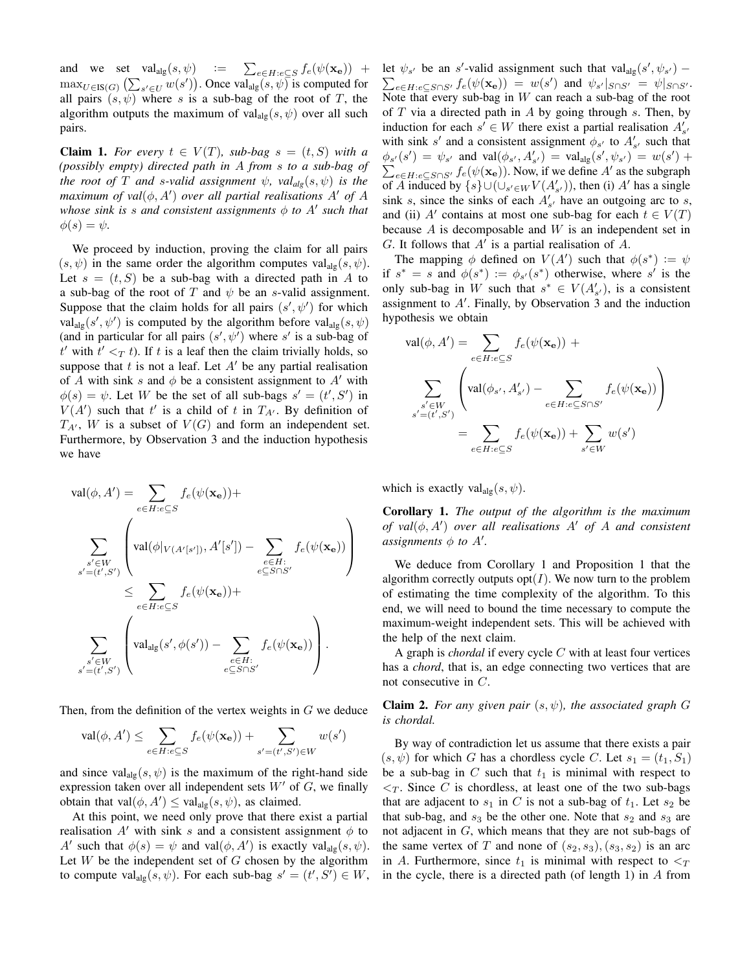and we set  $\text{val}_{\text{alg}}(s, \psi)$  :=  $\sum_{e \in H : e \subseteq S} f_e(\psi(\mathbf{x_e}))$  +  $\max_{U \in \text{IS}(G)} (\sum_{s' \in U} w(s'))$ . Once val<sub>alg</sub> $(s, \psi)$  is computed for all pairs  $(s, \psi)$  where s is a sub-bag of the root of T, the algorithm outputs the maximum of val<sub>alg</sub> $(s, \psi)$  over all such pairs.

**Claim 1.** For every  $t \in V(T)$ , sub-bag  $s = (t, S)$  with a *(possibly empty) directed path in* A *from* s *to a sub-bag of the root of* T *and s*-valid assignment  $\psi$ ,  $val_{alg}(s, \psi)$  *is the maximum of val* $(\phi, A')$  *over all partial realisations A' of A* whose sink is s and consistent assignments  $\phi$  to  $A'$  such that  $\phi(s) = \psi$ .

We proceed by induction, proving the claim for all pairs  $(s, \psi)$  in the same order the algorithm computes val<sub>alg</sub> $(s, \psi)$ . Let  $s = (t, S)$  be a sub-bag with a directed path in A to a sub-bag of the root of T and  $\psi$  be an s-valid assignment. Suppose that the claim holds for all pairs  $(s', \psi')$  for which  $\text{val}_{\text{alg}}(s', \psi')$  is computed by the algorithm before  $\text{val}_{\text{alg}}(s, \psi)$ (and in particular for all pairs  $(s', \psi')$  where s' is a sub-bag of  $t'$  with  $t' <_T t$ ). If t is a leaf then the claim trivially holds, so suppose that t is not a leaf. Let  $A'$  be any partial realisation of A with sink s and  $\phi$  be a consistent assignment to A' with  $\phi(s) = \psi$ . Let W be the set of all sub-bags  $s' = (t', S')$  in  $V(A')$  such that t' is a child of t in  $T_{A'}$ . By definition of  $T_{A'}$ , W is a subset of  $V(G)$  and form an independent set. Furthermore, by Observation 3 and the induction hypothesis we have

$$
\operatorname{val}(\phi, A') = \sum_{e \in H : e \subseteq S} f_e(\psi(\mathbf{x}_e)) +
$$
\n
$$
\sum_{\substack{s' \in W \\ s' = (t', S')}} \left( \operatorname{val}(\phi|_{V(A'[s'])}, A'[s']) - \sum_{\substack{e \in H : \\ e \subseteq S \cap S'}} f_e(\psi(\mathbf{x}_e)) \right)
$$
\n
$$
\leq \sum_{e \in H : e \subseteq S} f_e(\psi(\mathbf{x}_e)) +
$$
\n
$$
\sum_{\substack{s' \in W \\ s' = (t', S')}} \left( \operatorname{val}_{\operatorname{alg}}(s', \phi(s')) - \sum_{\substack{e \in H : \\ e \subseteq S \cap S'}} f_e(\psi(\mathbf{x}_e)) \right).
$$

Then, from the definition of the vertex weights in G we deduce

$$
\operatorname{val}(\phi, A') \le \sum_{e \in H : e \subseteq S} f_e(\psi(\mathbf{x}_e)) + \sum_{s' = (t', S') \in W} w(s')
$$

and since val<sub>alg</sub> $(s, \psi)$  is the maximum of the right-hand side expression taken over all independent sets  $W'$  of  $G$ , we finally obtain that val $(\phi, A') \leq \text{val}_{\text{alg}}(s, \psi)$ , as claimed.

At this point, we need only prove that there exist a partial realisation A' with sink s and a consistent assignment  $\phi$  to A' such that  $\phi(s) = \psi$  and val $(\phi, A')$  is exactly val<sub>alg</sub> $(s, \psi)$ . Let  $W$  be the independent set of  $G$  chosen by the algorithm to compute  $\text{val}_{\text{alg}}(s, \psi)$ . For each sub-bag  $s' = (t', S') \in W$ ,

let  $\psi_{s'}$  be an s'-valid assignment such that val<sub>alg</sub> $(s', \psi_{s'})$  –<br>  $\sum_{e \in H : e \subseteq S \cap S'} f_e(\psi(\mathbf{x_e})) = w(s')$  and  $\psi_{s'}|_{S \cap S'} = \psi|_{S \cap S'}$  $e \in H : e \subseteq S \cap S'$   $f e(\psi(\mathbf{x}_e)) = w(s')$  and  $\psi_{s'}|_{S \cap S'} = \psi|_{S \cap S'}.$ Note that every sub-bag in  $W$  can reach a sub-bag of the root of  $T$  via a directed path in  $A$  by going through  $s$ . Then, by induction for each  $s' \in W$  there exist a partial realisation  $A'_{s'}$ with sink s' and a consistent assignment  $\phi_{s'}$  to  $A'_{s'}$  such that  $\phi_{s'}(s') = \psi_{s'}$  and  $val(\phi_{s'}, A'_{s'}) = val_{alg}(s', \psi_{s'}) = w(s') +$  $\sum_{e \in H : e \subseteq S \cap S'} f_e(\psi(\mathbf{x_e}))$ . Now, if we define A' as the subgraph of A induced by  $\{s\} \cup (\cup_{s' \in W} V(A'_{s'}))$ , then (i) A' has a single sink s, since the sinks of each  $A'_{s'}$  have an outgoing arc to s, and (ii) A' contains at most one sub-bag for each  $t \in V(T)$ because  $A$  is decomposable and  $W$  is an independent set in  $G$ . It follows that  $A'$  is a partial realisation of  $A$ .

The mapping  $\phi$  defined on  $V(A')$  such that  $\phi(s^*) := \psi$ if  $s^* = s$  and  $\phi(s^*) := \phi_{s'}(s^*)$  otherwise, where s' is the only sub-bag in W such that  $s^* \in V(A'_{s'})$ , is a consistent assignment to  $A'$ . Finally, by Observation 3 and the induction hypothesis we obtain

$$
\operatorname{val}(\phi, A') = \sum_{e \in H : e \subseteq S} f_e(\psi(\mathbf{x}_e)) +
$$

$$
\sum_{\substack{s' \in W \\ s' = (t', S')}} \left( \operatorname{val}(\phi_{s'}, A'_{s'}) - \sum_{e \in H : e \subseteq S \cap S'} f_e(\psi(\mathbf{x}_e)) \right)
$$

$$
= \sum_{e \in H : e \subseteq S} f_e(\psi(\mathbf{x}_e)) + \sum_{s' \in W} w(s')
$$

which is exactly  $\text{val}_{\text{alg}}(s, \psi)$ .

Corollary 1. *The output of the algorithm is the maximum of*  $val(\phi, A')$  *over all realisations*  $A'$  *of*  $A$  *and consistent assignments*  $\phi$  *to*  $A'$ .

We deduce from Corollary 1 and Proposition 1 that the algorithm correctly outputs  $opt(I)$ . We now turn to the problem of estimating the time complexity of the algorithm. To this end, we will need to bound the time necessary to compute the maximum-weight independent sets. This will be achieved with the help of the next claim.

A graph is *chordal* if every cycle C with at least four vertices has a *chord*, that is, an edge connecting two vertices that are not consecutive in C.

Claim 2. *For any given pair* (s, ψ)*, the associated graph* G *is chordal.*

By way of contradiction let us assume that there exists a pair  $(s, \psi)$  for which G has a chordless cycle C. Let  $s_1 = (t_1, S_1)$ be a sub-bag in C such that  $t_1$  is minimal with respect to  $\langle \zeta_T$ . Since C is chordless, at least one of the two sub-bags that are adjacent to  $s_1$  in C is not a sub-bag of  $t_1$ . Let  $s_2$  be that sub-bag, and  $s_3$  be the other one. Note that  $s_2$  and  $s_3$  are not adjacent in G, which means that they are not sub-bags of the same vertex of T and none of  $(s_2, s_3), (s_3, s_2)$  is an arc in A. Furthermore, since  $t_1$  is minimal with respect to  $\leq_T$ in the cycle, there is a directed path (of length 1) in  $A$  from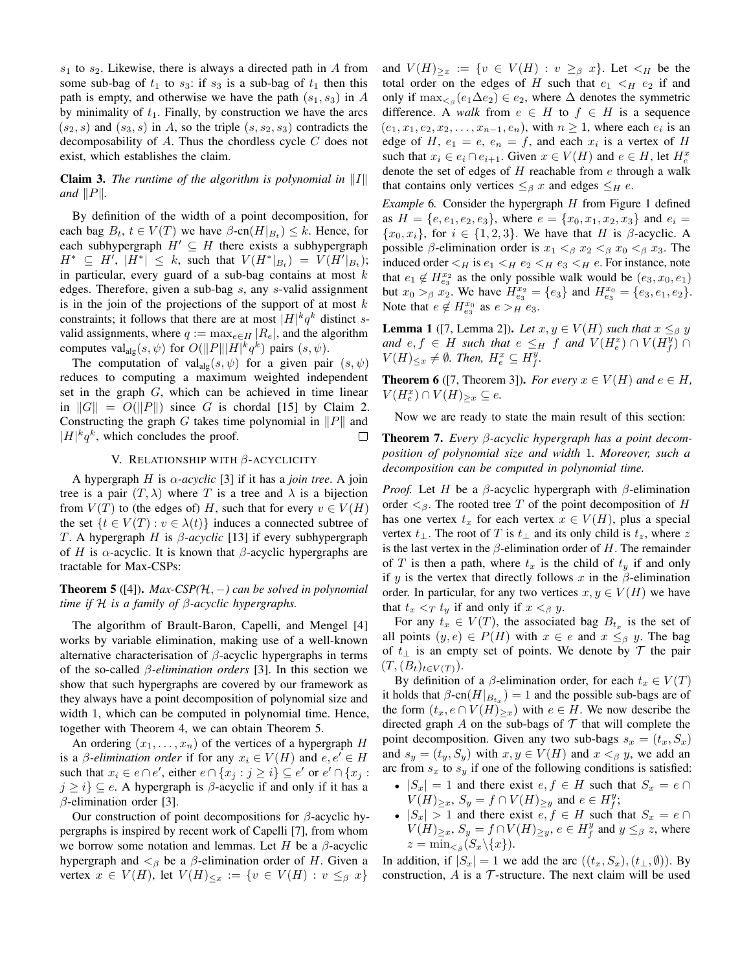$s_1$  to  $s_2$ . Likewise, there is always a directed path in A from some sub-bag of  $t_1$  to  $s_3$ : if  $s_3$  is a sub-bag of  $t_1$  then this path is empty, and otherwise we have the path  $(s_1, s_3)$  in A by minimality of  $t_1$ . Finally, by construction we have the arcs  $(s_2, s)$  and  $(s_3, s)$  in A, so the triple  $(s, s_2, s_3)$  contradicts the decomposability of  $A$ . Thus the chordless cycle  $C$  does not exist, which establishes the claim.

# **Claim 3.** *The runtime of the algorithm is polynomial in*  $||I||$ *and*  $||P||$ *.*

By definition of the width of a point decomposition, for each bag  $B_t$ ,  $t \in V(T)$  we have  $\beta$ -cn $(H|_{B_t}) \leq k$ . Hence, for each subhypergraph  $H' \subseteq H$  there exists a subhypergraph  $H^* \subseteq H'$ ,  $|H^*| \leq k$ , such that  $V(H^*|_{B_t}) = V(H'|_{B_t});$ in particular, every guard of a sub-bag contains at most  $k$ edges. Therefore, given a sub-bag s, any s-valid assignment is in the join of the projections of the support of at most  $k$ constraints; it follows that there are at most  $|H|^k q^k$  distinct svalid assignments, where  $q := \max_{e \in H} |R_e|$ , and the algorithm computes val<sub>alg</sub> $(s, \psi)$  for  $O(||P|| ||H||^k q^k)$  pairs  $(s, \psi)$ .

The computation of val<sub>alg</sub> $(s, \psi)$  for a given pair  $(s, \psi)$ reduces to computing a maximum weighted independent set in the graph G, which can be achieved in time linear in  $||G|| = O(||P||)$  since G is chordal [15] by Claim 2. Constructing the graph G takes time polynomial in  $||P||$  and  $|H|^k q^k$ , which concludes the proof.  $\Box$ 

# V. RELATIONSHIP WITH  $β$ -ACYCLICITY

A hypergraph H is  $\alpha$ -acyclic [3] if it has a *join tree*. A join tree is a pair  $(T, \lambda)$  where T is a tree and  $\lambda$  is a bijection from  $V(T)$  to (the edges of) H, such that for every  $v \in V(H)$ the set  $\{t \in V(T) : v \in \lambda(t)\}\$  induces a connected subtree of T. A hypergraph H is β*-acyclic* [13] if every subhypergraph of H is  $\alpha$ -acyclic. It is known that  $\beta$ -acyclic hypergraphs are tractable for Max-CSPs:

**Theorem 5** ([4]). *Max-CSP(H, -)* can be solved in polynomial *time if* H *is a family of* β*-acyclic hypergraphs.*

The algorithm of Brault-Baron, Capelli, and Mengel [4] works by variable elimination, making use of a well-known alternative characterisation of  $\beta$ -acyclic hypergraphs in terms of the so-called β*-elimination orders* [3]. In this section we show that such hypergraphs are covered by our framework as they always have a point decomposition of polynomial size and width 1, which can be computed in polynomial time. Hence, together with Theorem 4, we can obtain Theorem 5.

An ordering  $(x_1, \ldots, x_n)$  of the vertices of a hypergraph H is a *β*-elimination order if for any  $x_i \in V(H)$  and  $e, e' \in H$ such that  $x_i \in e \cap e'$ , either  $e \cap \{x_j : j \geq i\} \subseteq e'$  or  $e' \cap \{x_j : j \geq i\}$  $j \geq i$ }  $\subseteq$  e. A hypergraph is  $\beta$ -acyclic if and only if it has a  $\beta$ -elimination order [3].

Our construction of point decompositions for  $\beta$ -acyclic hypergraphs is inspired by recent work of Capelli [7], from whom we borrow some notation and lemmas. Let H be a  $\beta$ -acyclic hypergraph and  $\lt$ <sub>β</sub> be a β-elimination order of H. Given a vertex  $x \in V(H)$ , let  $V(H)_{\leq x} := \{v \in V(H) : v \leq_{\beta} x\}$ 

and  $V(H)_{\geq x} := \{v \in V(H) : v \geq_\beta x\}$ . Let  $\lt_H$  be the total order on the edges of H such that  $e_1 \lt_H e_2$  if and only if  $\max_{\leq \beta} (e_1 \Delta e_2) \in e_2$ , where  $\Delta$  denotes the symmetric difference. A *walk* from  $e \in H$  to  $f \in H$  is a sequence  $(e_1, x_1, e_2, x_2, \ldots, x_{n-1}, e_n)$ , with  $n \geq 1$ , where each  $e_i$  is an edge of H,  $e_1 = e$ ,  $e_n = f$ , and each  $x_i$  is a vertex of H such that  $x_i \in e_i \cap e_{i+1}$ . Given  $x \in V(H)$  and  $e \in H$ , let  $H_e^x$ denote the set of edges of  $H$  reachable from  $e$  through a walk that contains only vertices  $\leq_{\beta} x$  and edges  $\leq_{H} e$ .

*Example* 6. Consider the hypergraph H from Figure 1 defined as  $H = \{e, e_1, e_2, e_3\}$ , where  $e = \{x_0, x_1, x_2, x_3\}$  and  $e_i =$  $\{x_0, x_i\}$ , for  $i \in \{1, 2, 3\}$ . We have that H is  $\beta$ -acyclic. A possible  $\beta$ -elimination order is  $x_1 <_{\beta} x_2 <_{\beta} x_0 <_{\beta} x_3$ . The induced order  $\lt_H$  is  $e_1 \lt_H e_2 \lt_H e_3 \lt_H e$ . For instance, note that  $e_1 \notin H_{e_3}^{x_2}$  as the only possible walk would be  $(e_3, x_0, e_1)$ but  $x_0 >_\beta x_2$ . We have  $H_{e_3}^{x_2} = \{e_3\}$  and  $H_{e_3}^{x_0} = \{e_3, e_1, e_2\}$ . Note that  $e \notin H_{e_3}^{x_0}$  as  $e >_H e_3$ .

**Lemma 1** ([7, Lemma 2]). Let  $x, y \in V(H)$  such that  $x \leq_{\beta} y$ and  $e, f \in H$  such that  $e \leq_H f$  and  $V(H_e^x) \cap V(H_f^y) \cap$  $V(H)_{\leq x} \neq \emptyset$ . Then,  $H_e^x \subseteq H_f^y$ .

**Theorem 6** ([7, Theorem 3]). *For every*  $x \in V(H)$  *and*  $e \in H$ ,  $V(H_e^x) \cap V(H)_{\geq x} \subseteq e$ .

Now we are ready to state the main result of this section:

Theorem 7. *Every* β*-acyclic hypergraph has a point decomposition of polynomial size and width* 1*. Moreover, such a decomposition can be computed in polynomial time.*

*Proof.* Let H be a  $\beta$ -acyclic hypergraph with  $\beta$ -elimination order  $\leq_{\beta}$ . The rooted tree T of the point decomposition of H has one vertex  $t_x$  for each vertex  $x \in V(H)$ , plus a special vertex  $t_{\perp}$ . The root of T is  $t_{\perp}$  and its only child is  $t_z$ , where z is the last vertex in the  $\beta$ -elimination order of H. The remainder of T is then a path, where  $t_x$  is the child of  $t_y$  if and only if y is the vertex that directly follows x in the  $\beta$ -elimination order. In particular, for any two vertices  $x, y \in V(H)$  we have that  $t_x < T t_y$  if and only if  $x <_{\beta} y$ .

For any  $t_x \in V(T)$ , the associated bag  $B_{t_x}$  is the set of all points  $(y, e) \in P(H)$  with  $x \in e$  and  $x \leq_{\beta} y$ . The bag of  $t_{\perp}$  is an empty set of points. We denote by  $\mathcal T$  the pair  $(T,(B_t)_{t\in V(T)})$ .

By definition of a  $\beta$ -elimination order, for each  $t_x \in V(T)$ it holds that  $\beta$ -cn $(H|_{B_{t_x}}) = 1$  and the possible sub-bags are of the form  $(t_x, e \cap V(H)_{\geq x})$  with  $e \in H$ . We now describe the directed graph A on the sub-bags of  $T$  that will complete the point decomposition. Given any two sub-bags  $s_x = (t_x, S_x)$ and  $s_y = (t_y, S_y)$  with  $x, y \in V(H)$  and  $x <_{\beta} y$ , we add an arc from  $s_x$  to  $s_y$  if one of the following conditions is satisfied:

- $|S_x| = 1$  and there exist  $e, f \in H$  such that  $S_x = e \cap$  $V(H)_{\geq x}$ ,  $S_y = f \cap V(H)_{\geq y}$  and  $e \in H_f^y$ ;
- $|S_x| > 1$  and there exist  $e, f \in H$  such that  $S_x = e \cap$  $V(H)_{\geq x}, S_y = f \cap V(H)_{\geq y}, e \in H_f^y$  and  $y \leq_\beta z$ , where  $z = \min_{\leq \beta} (S_x \backslash \{x\}).$

In addition, if  $|S_x| = 1$  we add the arc  $((t_x, S_x), (t_1, \emptyset))$ . By construction,  $A$  is a  $\mathcal T$ -structure. The next claim will be used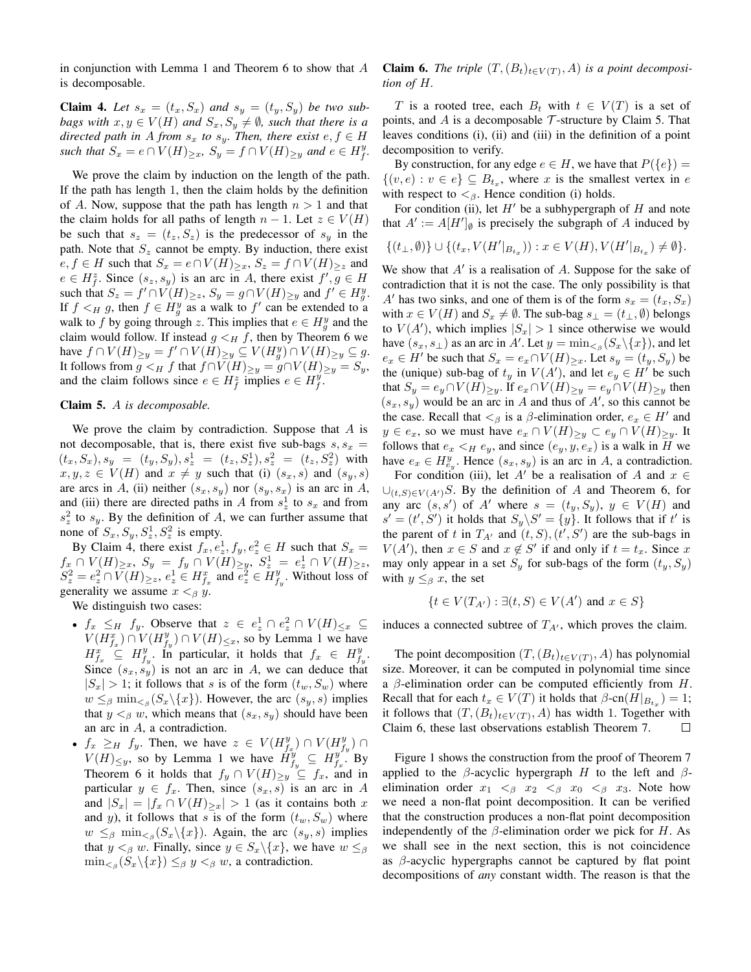in conjunction with Lemma 1 and Theorem 6 to show that  $A$ is decomposable.

**Claim 4.** Let  $s_x = (t_x, S_x)$  and  $s_y = (t_y, S_y)$  be two sub*bags with*  $x, y \in V(H)$  *and*  $S_x, S_y \neq \emptyset$ *, such that there is a directed path in* A *from*  $s_x$  *to*  $s_y$ *. Then, there exist*  $e, f \in H$ such that  $S_x = e \cap V(H)_{\geq x}$ ,  $S_y = f \cap V(H)_{\geq y}$  and  $e \in H_f^y$ .

We prove the claim by induction on the length of the path. If the path has length 1, then the claim holds by the definition of A. Now, suppose that the path has length  $n > 1$  and that the claim holds for all paths of length  $n-1$ . Let  $z \in V(H)$ be such that  $s_z = (t_z, S_z)$  is the predecessor of  $s_y$  in the path. Note that  $S_z$  cannot be empty. By induction, there exist  $e, f \in H$  such that  $S_x = e \cap V(H)_{\geq x}, S_z = f \cap V(H)_{\geq z}$  and  $e \in H_f^z$ . Since  $(s_z, s_y)$  is an arc in A, there exist  $f', g \in H$ such that  $S_z = f' \cap V(H)_{\geq z}$ ,  $S_y = g \cap V(H)_{\geq y}$  and  $f' \in H_g^y$ . If  $f \leq_H g$ , then  $f \in H_g^y$  as a walk to  $f'$  can be extended to a walk to f by going through z. This implies that  $e \in H_g^y$  and the claim would follow. If instead  $g \lt_H f$ , then by Theorem 6 we have  $f \cap V(H)_{\geq y} = f' \cap V(H)_{\geq y} \subseteq V(H_g^y) \cap V(H)_{\geq y} \subseteq g$ . It follows from  $g \lt_H f$  that  $f \cap V(H)_{\ge y} = g \cap V(H)_{\ge y} = S_y$ , and the claim follows since  $e \in H_f^z$  implies  $e \in H_f^y$ .

# Claim 5. A *is decomposable.*

We prove the claim by contradiction. Suppose that  $A$  is not decomposable, that is, there exist five sub-bags  $s, s_x$  =  $(t_x, S_x), s_y = (t_y, S_y), s_z^1 = (t_z, S_z^1), s_z^2 = (t_z, S_z^2)$  with  $x, y, z \in V(H)$  and  $x \neq y$  such that (i)  $(s_x, s)$  and  $(s_y, s)$ are arcs in A, (ii) neither  $(s_x, s_y)$  nor  $(s_y, s_x)$  is an arc in A, and (iii) there are directed paths in A from  $s^1$  to  $s_x$  and from  $s<sub>z</sub><sup>2</sup>$  to  $s<sub>y</sub>$ . By the definition of A, we can further assume that none of  $S_x, S_y, S_z^1, S_z^2$  is empty.

By Claim 4, there exist  $f_x, e^1_z, f_y, e^2_z \in H$  such that  $S_x =$  $f_x \cap V(H)_{\geq x}, S_y = f_y \cap V(H)_{\geq y}, S_x^1 = e_x^1 \cap V(H)_{\geq z},$  $S_z^2 = e_z^2 \cap \overline{V(H)}_{\geq z}, e_z^1 \in H_{f_x}^x$  and  $\overline{e_z^2} \in \tilde{H}_{f_y}^y$ . Without loss of generality we assume  $x <_{\beta} y$ .

We distinguish two cases:

- $f_x \leq_H f_y$ . Observe that  $z \in e^1_z \cap e^2_z \cap V(H)_{\leq x} \subseteq$  $V(H_{f_x}^x) \cap V(H_{f_y}^y) \cap V(H)_{\leq x}$ , so by Lemma 1 we have  $H_{f_x}^x \subseteq H_{f_y}^y$ . In particular, it holds that  $f_x \in H_{f_y}^y$ . Since  $(s_x, s_y)$  is not an arc in A, we can deduce that  $|S_x| > 1$ ; it follows that s is of the form  $(t_w, S_w)$  where  $w \leq_{\beta} \min_{\leq_{\beta}} (S_x \backslash \{x\})$ . However, the arc  $(s_y, s)$  implies that  $y <_{\beta} w$ , which means that  $(s_x, s_y)$  should have been an arc in A, a contradiction.
- $f_x \geq_H f_y$ . Then, we have  $z \in V(H_{f_x}^y) \cap V(H_{f_y}^y) \cap$  $V(H) \leq y$ , so by Lemma 1 we have  $H_{f_y}^y \subseteq H_{f_x}^{y^{y}}$ . By Theorem 6 it holds that  $f_y \cap V(H)_{\geq y} \subseteq f_x$ , and in particular  $y \in f_x$ . Then, since  $(s_x, s)$  is an arc in A and  $|S_x| = |f_x \cap V(H)_{\geq x}| > 1$  (as it contains both x and y), it follows that s is of the form  $(t_w, S_w)$  where  $w \leq_{\beta} \min_{\leq_{\beta}} (S_x \setminus \{x\})$ . Again, the arc  $(s_y, s)$  implies that  $y <_{\beta} w$ . Finally, since  $y \in S_x \backslash \{x\}$ , we have  $w \leq_{\beta}$  $\min_{\leq \beta} (S_x \setminus \{x\}) \leq_{\beta} y <_{\beta} w$ , a contradiction.

**Claim 6.** *The triple*  $(T, (B_t)_{t \in V(T)}, A)$  *is a point decomposition of* H*.*

T is a rooted tree, each  $B_t$  with  $t \in V(T)$  is a set of points, and A is a decomposable  $\mathcal T$ -structure by Claim 5. That leaves conditions (i), (ii) and (iii) in the definition of a point decomposition to verify.

By construction, for any edge  $e \in H$ , we have that  $P({e}) =$  $\{(v, e) : v \in e\} \subseteq B_{t_x}$ , where x is the smallest vertex in e with respect to  $\lt_{\beta}$ . Hence condition (i) holds.

For condition (ii), let  $H'$  be a subhypergraph of H and note that  $A' := A[H']_{\emptyset}$  is precisely the subgraph of A induced by

$$
\{(t_{\perp},\emptyset)\}\cup\{(t_x,V(H'|_{B_{t_x}})):x\in V(H),V(H'|_{B_{t_x}})\neq\emptyset\}.
$$

We show that  $A'$  is a realisation of  $A$ . Suppose for the sake of contradiction that it is not the case. The only possibility is that A' has two sinks, and one of them is of the form  $s_x = (t_x, S_x)$ with  $x \in V(H)$  and  $S_x \neq \emptyset$ . The sub-bag  $s_{\perp} = (t_{\perp}, \emptyset)$  belongs to  $V(A')$ , which implies  $|S_x| > 1$  since otherwise we would have  $(s_x, s_\perp)$  as an arc in A'. Let  $y = \min_{s \in \beta} (S_x \setminus \{x\})$ , and let  $e_x \in H'$  be such that  $S_x = e_x \cap V(H)_{\geq x}$ . Let  $s_y = (t_y, S_y)$  be the (unique) sub-bag of  $t_y$  in  $V(A')$ , and let  $e_y \in H'$  be such that  $S_y = e_y \cap V(H)_{\ge y}$ . If  $e_x \cap V(H)_{\ge y} = e_y \cap V(H)_{\ge y}$  then  $(s_x, s_y)$  would be an arc in A and thus of A', so this cannot be the case. Recall that  $\lt_{\beta}$  is a  $\beta$ -elimination order,  $e_x \in H'$  and  $y \in e_x$ , so we must have  $e_x \cap V(H)_{\ge y} \subset e_y \cap V(H)_{\ge y}$ . It follows that  $e_x \leq_H e_y$ , and since  $(e_y, y, e_x)$  is a walk in H we have  $e_x \in H_{e_y}^y$ . Hence  $(s_x, s_y)$  is an arc in A, a contradiction.

For condition (iii), let A' be a realisation of A and  $x \in$  $\bigcup_{(t,S)\in V(A')}\nS$ . By the definition of A and Theorem 6, for any arc  $(s, s')$  of A' where  $s = (t_y, S_y), y \in V(H)$  and  $s' = (t', S')$  it holds that  $S_y \backslash S' = \{y\}$ . It follows that if t' is the parent of t in  $T_{A}$  and  $(t, S), (t', S')$  are the sub-bags in  $V(A')$ , then  $x \in S$  and  $x \notin S'$  if and only if  $t = t_x$ . Since x may only appear in a set  $S_y$  for sub-bags of the form  $(t_y, S_y)$ with  $y \leq_\beta x$ , the set

$$
\{t \in V(T_{A'}): \exists (t, S) \in V(A') \text{ and } x \in S\}
$$

induces a connected subtree of  $T_{A'}$ , which proves the claim.

The point decomposition  $(T, (B_t)_{t \in V(T)}, A)$  has polynomial size. Moreover, it can be computed in polynomial time since a  $\beta$ -elimination order can be computed efficiently from H. Recall that for each  $t_x \in V(T)$  it holds that  $\beta$ -cn $(H|_{B_{t_x}}) = 1$ ; it follows that  $(T,(B_t)_{t\in V(T)}, A)$  has width 1. Together with Claim 6, these last observations establish Theorem 7.  $\Box$ 

Figure 1 shows the construction from the proof of Theorem 7 applied to the  $\beta$ -acyclic hypergraph H to the left and  $\beta$ elimination order  $x_1 \leq_{\beta} x_2 \leq_{\beta} x_0 \leq_{\beta} x_3$ . Note how we need a non-flat point decomposition. It can be verified that the construction produces a non-flat point decomposition independently of the  $\beta$ -elimination order we pick for H. As we shall see in the next section, this is not coincidence as  $\beta$ -acyclic hypergraphs cannot be captured by flat point decompositions of *any* constant width. The reason is that the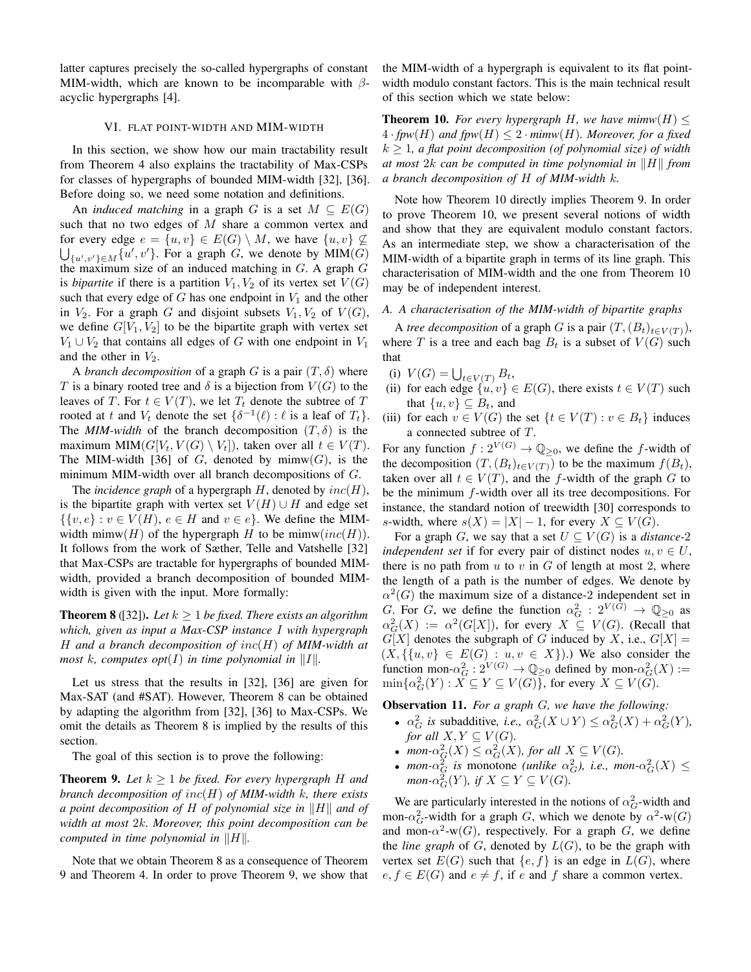latter captures precisely the so-called hypergraphs of constant MIM-width, which are known to be incomparable with  $\beta$ acyclic hypergraphs [4].

# VI. FLAT POINT-WIDTH AND MIM-WIDTH

In this section, we show how our main tractability result from Theorem 4 also explains the tractability of Max-CSPs for classes of hypergraphs of bounded MIM-width [32], [36]. Before doing so, we need some notation and definitions.

An *induced matching* in a graph G is a set  $M \subseteq E(G)$ such that no two edges of M share a common vertex and for every edge  $e = \{u, v\} \in E(G) \setminus M$ , we have  $\{u, v\} \not\subseteq$  $\bigcup_{\{u',v'\}\in M}\{u',v'\}$ . For a graph G, we denote by  $\text{MIM}(G)$ the maximum size of an induced matching in  $G$ . A graph  $G$ is *bipartite* if there is a partition  $V_1, V_2$  of its vertex set  $V(G)$ such that every edge of  $G$  has one endpoint in  $V_1$  and the other in  $V_2$ . For a graph G and disjoint subsets  $V_1, V_2$  of  $V(G)$ , we define  $G[V_1, V_2]$  to be the bipartite graph with vertex set  $V_1 \cup V_2$  that contains all edges of G with one endpoint in  $V_1$ and the other in  $V_2$ .

A *branch decomposition* of a graph G is a pair  $(T, \delta)$  where T is a binary rooted tree and  $\delta$  is a bijection from  $V(G)$  to the leaves of T. For  $t \in V(T)$ , we let  $T_t$  denote the subtree of T rooted at t and  $V_t$  denote the set  $\{\delta^{-1}(\ell) : \ell \text{ is a leaf of } T_t\}.$ The *MIM-width* of the branch decomposition  $(T, \delta)$  is the maximum MIM( $G[V_t, V(G) \setminus V_t]$ ), taken over all  $t \in V(T)$ . The MIM-width [36] of G, denoted by  $\min(w(G))$ , is the minimum MIM-width over all branch decompositions of G.

The *incidence graph* of a hypergraph  $H$ , denoted by  $inc(H)$ , is the bipartite graph with vertex set  $V(H) \cup H$  and edge set  $\{\{v, e\} : v \in V(H), e \in H \text{ and } v \in e\}.$  We define the MIMwidth mimw(H) of the hypergraph H to be mimw( $inc(H)$ ). It follows from the work of Sæther, Telle and Vatshelle [32] that Max-CSPs are tractable for hypergraphs of bounded MIMwidth, provided a branch decomposition of bounded MIMwidth is given with the input. More formally:

**Theorem 8** ([32]). Let  $k \ge 1$  be fixed. There exists an algorithm *which, given as input a Max-CSP instance* I *with hypergraph* H *and a branch decomposition of* inc(H) *of MIM-width at most* k, computes opt(I) in time polynomial in  $||I||$ .

Let us stress that the results in [32], [36] are given for Max-SAT (and #SAT). However, Theorem 8 can be obtained by adapting the algorithm from [32], [36] to Max-CSPs. We omit the details as Theorem 8 is implied by the results of this section.

The goal of this section is to prove the following:

**Theorem 9.** Let  $k \geq 1$  be fixed. For every hypergraph H and *branch decomposition of* inc(H) *of MIM-width* k*, there exists a point decomposition of*  $H$  *of polynomial size in*  $\|H\|$  *and of width at most* 2k*. Moreover, this point decomposition can be computed in time polynomial in*  $||H||$ .

Note that we obtain Theorem 8 as a consequence of Theorem 9 and Theorem 4. In order to prove Theorem 9, we show that

the MIM-width of a hypergraph is equivalent to its flat pointwidth modulo constant factors. This is the main technical result of this section which we state below:

**Theorem 10.** *For every hypergraph* H, we have  $\text{minw}(H) \leq$  $4 \cdot fpw(H)$  and  $fpw(H) \leq 2 \cdot minw(H)$ *. Moreover, for a fixed*  $k \geq 1$ , a flat point decomposition (of polynomial size) of width *at most*  $2k$  *can be computed in time polynomial in*  $\|H\|$  *from a branch decomposition of* H *of MIM-width* k*.*

Note how Theorem 10 directly implies Theorem 9. In order to prove Theorem 10, we present several notions of width and show that they are equivalent modulo constant factors. As an intermediate step, we show a characterisation of the MIM-width of a bipartite graph in terms of its line graph. This characterisation of MIM-width and the one from Theorem 10 may be of independent interest.

# *A. A characterisation of the MIM-width of bipartite graphs*

A *tree decomposition* of a graph G is a pair  $(T,(B_t)_{t\in V(T)}),$ where T is a tree and each bag  $B_t$  is a subset of  $V(G)$  such that

- (i)  $V(G) = \bigcup_{t \in V(T)} B_t$ ,
- (ii) for each edge  $\{u, v\} \in E(G)$ , there exists  $t \in V(T)$  such that  $\{u, v\} \subseteq B_t$ , and
- (iii) for each  $v \in V(G)$  the set  $\{t \in V(T) : v \in B_t\}$  induces a connected subtree of T.

For any function  $f: 2^{V(G)} \to \mathbb{Q}_{\geq 0}$ , we define the f-width of the decomposition  $(T,(B_t)_{t\in V(T)})$  to be the maximum  $f(B_t)$ , taken over all  $t \in V(T)$ , and the f-width of the graph G to be the minimum f-width over all its tree decompositions. For instance, the standard notion of treewidth [30] corresponds to s-width, where  $s(X) = |X| - 1$ , for every  $X \subseteq V(G)$ .

For a graph G, we say that a set  $U \subseteq V(G)$  is a *distance*-2 *independent set* if for every pair of distinct nodes  $u, v \in U$ , there is no path from  $u$  to  $v$  in  $G$  of length at most 2, where the length of a path is the number of edges. We denote by  $\alpha^2(G)$  the maximum size of a distance-2 independent set in G. For G, we define the function  $\alpha_G^2 : 2^{V(\bar{G})} \rightarrow \mathbb{Q}_{\geq 0}$  as  $\alpha_G^2(X) := \alpha^2(G[X]),$  for every  $X \subseteq V(G)$ . (Recall that  $G[X]$  denotes the subgraph of G induced by X, i.e.,  $G[X] =$  $(X, \{\{u, v\} \in E(G) : u, v \in X\})$ .) We also consider the function mon- $\alpha_G^2$ :  $2^{V(G)} \to \mathbb{Q}_{\geq 0}$  defined by mon- $\alpha_G^2(X)$ :=  $\min\{\alpha_G^2(Y) : X \subseteq Y \subseteq V(G)\}$ , for every  $X \subseteq V(G)$ .

Observation 11. *For a graph* G*, we have the following:*

- $\alpha_G^2$  *is* subadditive, *i.e.*,  $\alpha_G^2(X \cup Y) \leq \alpha_G^2(X) + \alpha_G^2(Y)$ , *for all*  $X, Y \subseteq V(G)$ *.*
- $mon\text{-}\alpha_G^2(X) \leq \alpha_G^2(X)$ , for all  $X \subseteq V(G)$ .
- *mon*- $\alpha_G^2$  *is* monotone *(unlike*  $\alpha_G^2$ *), i.e., mon-* $\alpha_G^2(X) \leq$  $mon$ - $\alpha_G^2(Y)$ *, if*  $X \subseteq Y \subseteq V(G)$ *.*

We are particularly interested in the notions of  $\alpha_G^2$ -width and mon- $\alpha_G^2$ -width for a graph G, which we denote by  $\alpha^2$ -w $(G)$ and mon- $\alpha^2$ -w(G), respectively. For a graph G, we define the *line graph* of  $G$ , denoted by  $L(G)$ , to be the graph with vertex set  $E(G)$  such that  $\{e, f\}$  is an edge in  $L(G)$ , where  $e, f \in E(G)$  and  $e \neq f$ , if e and f share a common vertex.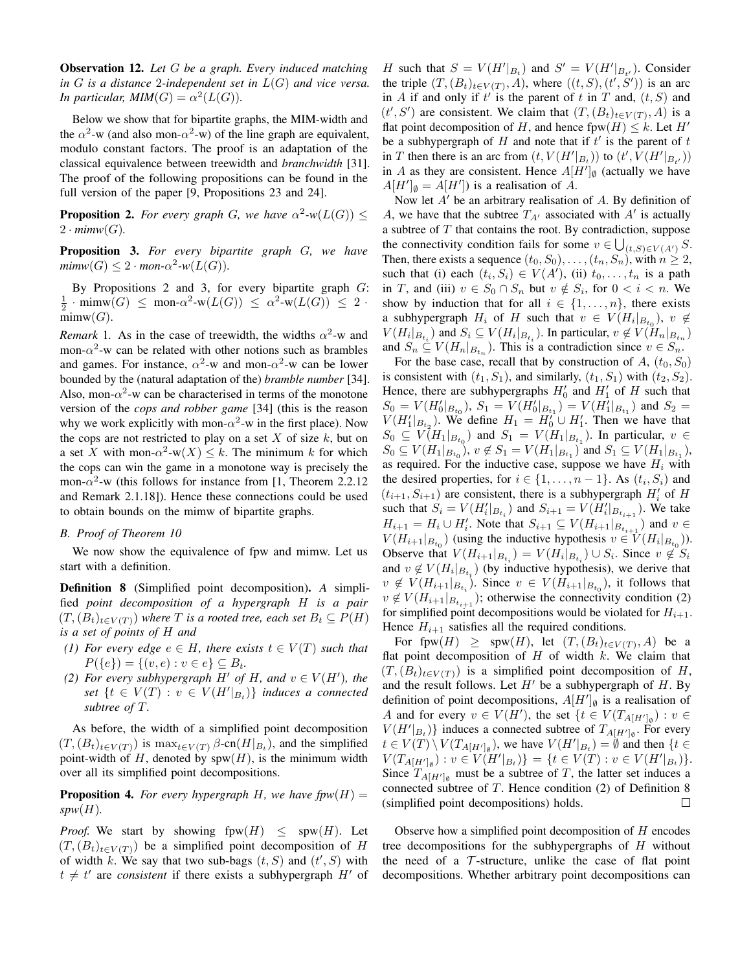Observation 12. *Let* G *be a graph. Every induced matching in* G *is a distance* 2*-independent set in* L(G) *and vice versa. In particular, MIM* $(G) = \alpha^2(L(G)).$ 

Below we show that for bipartite graphs, the MIM-width and the  $\alpha^2$ -w (and also mon- $\alpha^2$ -w) of the line graph are equivalent, modulo constant factors. The proof is an adaptation of the classical equivalence between treewidth and *branchwidth* [31]. The proof of the following propositions can be found in the full version of the paper [9, Propositions 23 and 24].

**Proposition 2.** For every graph G, we have  $\alpha^2$ -w $(L(G)) \leq$  $2 \cdot \textit{mimw}(G)$ .

Proposition 3. *For every bipartite graph* G*, we have*  $minw(G) \leq 2 \cdot mon - \alpha^2 - w(L(G)).$ 

By Propositions 2 and 3, for every bipartite graph  $G$ :  $\frac{1}{2}$  · mimw $(G) \leq$  mon- $\alpha^2$ -w $(L(G)) \leq \alpha^2$ -w $(L(G)) \leq 2$  ·  $mimw(G)$ .

*Remark* 1. As in the case of treewidth, the widths  $\alpha^2$ -w and mon- $\alpha^2$ -w can be related with other notions such as brambles and games. For instance,  $\alpha^2$ -w and mon- $\alpha^2$ -w can be lower bounded by the (natural adaptation of the) *bramble number* [34]. Also, mon- $\alpha^2$ -w can be characterised in terms of the monotone version of the *cops and robber game* [34] (this is the reason why we work explicitly with mon- $\alpha^2$ -w in the first place). Now the cops are not restricted to play on a set  $X$  of size  $k$ , but on a set X with mon- $\alpha^2$ -w $(X) \leq k$ . The minimum k for which the cops can win the game in a monotone way is precisely the mon- $\alpha^2$ -w (this follows for instance from [1, Theorem 2.2.12 and Remark 2.1.18]). Hence these connections could be used to obtain bounds on the mimw of bipartite graphs.

# *B. Proof of Theorem 10*

We now show the equivalence of fpw and mimw. Let us start with a definition.

Definition 8 (Simplified point decomposition). *A* simplified *point decomposition of a hypergraph* H *is a pair*  $(T,(B_t)_{t\in V(T)})$  *where* T *is a rooted tree, each set*  $B_t \subseteq P(H)$ *is a set of points of* H *and*

- *(1) For every edge*  $e \in H$ *, there exists*  $t \in V(T)$  *such that*  $P({e}) = {(v, e) : v \in e} \subset B_t.$
- *(2)* For every subhypergraph  $H'$  of  $H$ , and  $v \in V(H')$ , the  $set\{t \in V(T): v \in V(H'|_{B_t})\}$  *induces a connected subtree of* T*.*

As before, the width of a simplified point decomposition  $(T,(B_t)_{t\in V(T)})$  is  $\max_{t\in V(T)} \beta$ -cn $(H|_{B_t})$ , and the simplified point-width of H, denoted by  $spw(H)$ , is the minimum width over all its simplified point decompositions.

**Proposition 4.** *For every hypergraph* H, we have  $fpw(H) =$  $spw(H)$ .

*Proof.* We start by showing  $fpw(H) \leq spw(H)$ . Let  $(T,(B_t)_{t\in V(T)})$  be a simplified point decomposition of H of width k. We say that two sub-bags  $(t, S)$  and  $(t', S)$  with  $t \neq t'$  are *consistent* if there exists a subhypergraph  $H'$  of

H such that  $S = V(H'|_{B_t})$  and  $S' = V(H'|_{B_{t'}})$ . Consider the triple  $(T, (B_t)_{t \in V(T)}, A)$ , where  $((t, S), (t', S'))$  is an arc in A if and only if  $t'$  is the parent of t in T and,  $(t, S)$  and  $(t', S')$  are consistent. We claim that  $(T, (B_t)_{t \in V(T)}, A)$  is a flat point decomposition of H, and hence fpw $(H) \leq k$ . Let H' be a subhypergraph of  $H$  and note that if  $t'$  is the parent of  $t$ in T then there is an arc from  $(t, V(H'|_{B_t}))$  to  $(t', V(H'|_{B_{t'}}))$ in A as they are consistent. Hence  $A[H']_{\emptyset}$  (actually we have  $A[H']_{\emptyset} = A[H'])$  is a realisation of A.

Now let  $A'$  be an arbitrary realisation of  $A$ . By definition of A, we have that the subtree  $T_{A'}$  associated with  $A'$  is actually a subtree of  $T$  that contains the root. By contradiction, suppose the connectivity condition fails for some  $v \in \bigcup_{(t,S)\in V(A')} S$ . Then, there exists a sequence  $(t_0, S_0), \ldots, (t_n, S_n)$ , with  $n \geq 2$ , such that (i) each  $(t_i, S_i) \in V(A')$ , (ii)  $t_0, \ldots, t_n$  is a path in T, and (iii)  $v \in S_0 \cap S_n$  but  $v \notin S_i$ , for  $0 < i < n$ . We show by induction that for all  $i \in \{1, \ldots, n\}$ , there exists a subhypergraph  $H_i$  of H such that  $v \in V(H_i|_{B_{t_0}})$ ,  $v \notin$  $V(H_i|_{B_{t_i}})$  and  $S_i \subseteq V(H_i|_{B_{t_i}})$ . In particular,  $v \notin V(H_n|_{B_{t_n}})$ and  $S_n \subseteq V(H_n|_{B_{t_n}})$ . This is a contradiction since  $v \in S_n$ .

For the base case, recall that by construction of A,  $(t_0, S_0)$ is consistent with  $(t_1, S_1)$ , and similarly,  $(t_1, S_1)$  with  $(t_2, S_2)$ . Hence, there are subhypergraphs  $H'_0$  and  $H'_1$  of H such that  $S_0 = V(H_0'|_{B_{t_0}})$ ,  $S_1 = V(H_0'|_{B_{t_1}}) = V(H_1'|_{B_{t_1}})$  and  $S_2 =$  $V(H_1'|_{B_{t_2}})$ . We define  $H_1 = H_0' \cup H_1'$ . Then we have that  $S_0 \subseteq V(H_1|_{B_{t_0}})$  and  $S_1 = V(H_1|_{B_{t_1}})$ . In particular,  $v \in$  $S_0 \subseteq V(H_1|_{B_{t_0}}), v \notin S_1 = V(H_1|_{B_{t_1}})$  and  $S_1 \subseteq V(H_1|_{B_{t_1}})$ , as required. For the inductive case, suppose we have  $H_i$  with the desired properties, for  $i \in \{1, \ldots, n-1\}$ . As  $(t_i, S_i)$  and  $(t_{i+1}, S_{i+1})$  are consistent, there is a subhypergraph  $H_i'$  of  $H_i$ such that  $S_i = V(H_i'|_{B_{t_i}})$  and  $S_{i+1} = V(H_i'|_{B_{t_{i+1}}})$ . We take  $H_{i+1} = H_i \cup H'_i$ . Note that  $S_{i+1} \subseteq V(H_{i+1}|_{B_{t_{i+1}}} )$  and  $v \in$  $V(H_{i+1}|_{B_{t_0}})$  (using the inductive hypothesis  $v \in V(H_i|_{B_{t_0}})$ ). Observe that  $V(H_{i+1}|_{B_{t_i}}) = V(H_i|_{B_{t_i}}) \cup S_i$ . Since  $v \notin S_i$ and  $v \notin V(H_i|_{B_{t_i}})$  (by inductive hypothesis), we derive that  $v \notin V(H_{i+1}|_{B_{t_i}})$ . Since  $v \in V(H_{i+1}|_{B_{t_0}})$ , it follows that  $v \notin V(H_{i+1}|_{B_{t_{i+1}}})$ ; otherwise the connectivity condition (2) for simplified point decompositions would be violated for  $H_{i+1}$ . Hence  $H_{i+1}$  satisfies all the required conditions.

For fpw $(H) \geq \text{spw}(H)$ , let  $(T,(B_t)_{t \in V(T)}, A)$  be a flat point decomposition of  $H$  of width  $k$ . We claim that  $(T,(B_t)_{t\in V(T)})$  is a simplified point decomposition of H, and the result follows. Let  $H'$  be a subhypergraph of  $H$ . By definition of point decompositions,  $A[H']_{\emptyset}$  is a realisation of A and for every  $v \in V(H')$ , the set  $\{t \in V(T_{A[H']_\emptyset}) : v \in$  $V(H'|_{B_t})$ } induces a connected subtree of  $T_{A[H']_0}$ . For every  $t \in V(T) \setminus V(T_{A[H']_{\emptyset}})$ , we have  $V(H'|_{B_t}) = \emptyset$  and then  $\{t \in$  $V(T_{A[H']\emptyset}) : v \in V(H'|_{B_t})\} = \{t \in V(T) : v \in V(H'|_{B_t})\}.$ Since  $T_{A[H']_{\emptyset}}$  must be a subtree of T, the latter set induces a connected subtree of  $T$ . Hence condition (2) of Definition 8 (simplified point decompositions) holds.  $\Box$ 

Observe how a simplified point decomposition of  $H$  encodes tree decompositions for the subhypergraphs of  $H$  without the need of a  $\mathcal T$ -structure, unlike the case of flat point decompositions. Whether arbitrary point decompositions can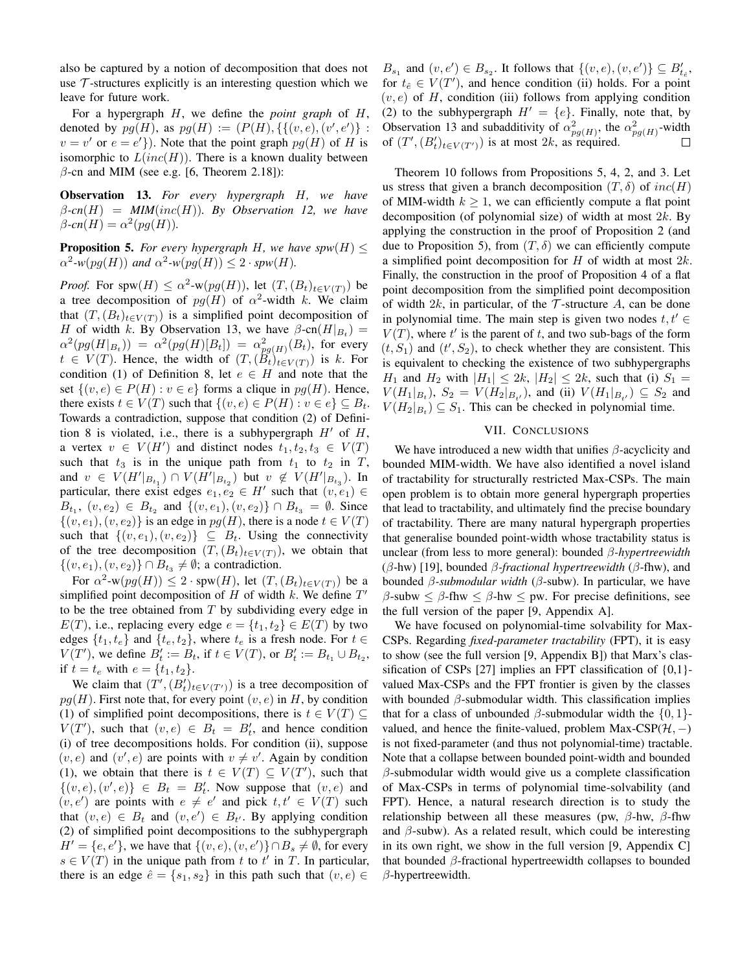also be captured by a notion of decomposition that does not use  $\tau$ -structures explicitly is an interesting question which we leave for future work.

For a hypergraph H, we define the *point graph* of H, denoted by  $pg(H)$ , as  $pg(H) := (P(H), \{ \{ (v, e), (v', e') \} :$  $v = v'$  or  $e = e'$ }). Note that the point graph  $pg(H)$  of H is isomorphic to  $L(inc(H))$ . There is a known duality between  $\beta$ -cn and MIM (see e.g. [6, Theorem 2.18]):

Observation 13. *For every hypergraph* H*, we have*  $\beta$ -cn(H) = MIM(inc(H)). By Observation 12, we have  $\beta$ *-cn*(*H*) =  $\alpha^2(pg(H))$ .

**Proposition 5.** *For every hypergraph* H, we have  $spw(H) \le$  $\alpha^2$ -w(pg(H)) and  $\alpha^2$ -w(pg(H))  $\leq 2 \cdot spw(H)$ .

*Proof.* For spw $(H) \le \alpha^2$ -w $(pg(H))$ , let  $(T, (B_t)_{t \in V(T)})$  be a tree decomposition of  $pg(H)$  of  $\alpha^2$ -width k. We claim that  $(T,(B_t)_{t\in V(T)})$  is a simplified point decomposition of H of width k. By Observation 13, we have  $\beta$ -cn $(H|_{B_t}) =$  $\alpha^2(pg(H|_{B_t})) = \alpha^2(pg(H)[B_t]) = \alpha^2_{pg(H)}(B_t)$ , for every  $t \in V(T)$ . Hence, the width of  $(T,(\tilde{B}_t)_{t \in V(T)})$  is k. For condition (1) of Definition 8, let  $e \in H$  and note that the set  $\{(v, e) \in P(H) : v \in e\}$  forms a clique in  $pg(H)$ . Hence, there exists  $t \in V(T)$  such that  $\{(v, e) \in P(H) : v \in e\} \subseteq B_t$ . Towards a contradiction, suppose that condition (2) of Definition 8 is violated, i.e., there is a subhypergraph  $H'$  of  $H$ , a vertex  $v \in V(H')$  and distinct nodes  $t_1, t_2, t_3 \in V(T)$ such that  $t_3$  is in the unique path from  $t_1$  to  $t_2$  in  $T$ , and  $v \in V(H'|_{B_{t_1}}) \cap V(H'|_{B_{t_2}})$  but  $v \notin V(H'|_{B_{t_3}})$ . In particular, there exist edges  $e_1, e_2 \in H'$  such that  $(v, e_1) \in$  $B_{t_1}$ ,  $(v, e_2) \in B_{t_2}$  and  $\{(v, e_1), (v, e_2)\} \cap B_{t_3} = \emptyset$ . Since  $\{(v, e_1), (v, e_2)\}\$ is an edge in  $pg(H)$ , there is a node  $t \in V(T)$ such that  $\{(v, e_1), (v, e_2)\}\subseteq B_t$ . Using the connectivity of the tree decomposition  $(T,(B_t)_{t\in V(T)})$ , we obtain that  $\{(v, e_1), (v, e_2)\}\cap B_{t_3} \neq \emptyset$ ; a contradiction.

For  $\alpha^2$ -w $(pg(H)) \leq 2 \cdot spw(H)$ , let  $(T, (B_t)_{t \in V(T)})$  be a simplified point decomposition of  $H$  of width  $k$ . We define  $T'$ to be the tree obtained from  $T$  by subdividing every edge in  $E(T)$ , i.e., replacing every edge  $e = \{t_1, t_2\} \in E(T)$  by two edges  $\{t_1, t_e\}$  and  $\{t_e, t_2\}$ , where  $t_e$  is a fresh node. For  $t \in$  $V(T')$ , we define  $B'_t := B_t$ , if  $t \in V(T)$ , or  $B'_t := B_{t_1} \cup B_{t_2}$ , if  $t = t_e$  with  $e = \{t_1, t_2\}.$ 

We claim that  $(T', (B_t')_{t \in V(T')})$  is a tree decomposition of  $pq(H)$ . First note that, for every point  $(v, e)$  in H, by condition (1) of simplified point decompositions, there is  $t \in V(T) \subseteq$  $V(T')$ , such that  $(v, e) \in B_t = B'_t$ , and hence condition (i) of tree decompositions holds. For condition (ii), suppose  $(v, e)$  and  $(v', e)$  are points with  $v \neq v'$ . Again by condition (1), we obtain that there is  $t \in V(T) \subseteq V(T')$ , such that  $\{(v, e), (v', e)\}\in B_t = B'_t$ . Now suppose that  $(v, e)$  and  $(v, e')$  are points with  $e \neq e'$  and pick  $t, t' \in V(T)$  such that  $(v, e) \in B_t$  and  $(v, e') \in B_{t'}$ . By applying condition (2) of simplified point decompositions to the subhypergraph  $H' = \{e, e'\}$ , we have that  $\{(v, e), (v, e')\} \cap B_s \neq \emptyset$ , for every  $s \in V(T)$  in the unique path from t to t' in T. In particular, there is an edge  $\hat{e} = \{s_1, s_2\}$  in this path such that  $(v, e) \in$ 

 $B_{s_1}$  and  $(v, e') \in B_{s_2}$ . It follows that  $\{(v, e), (v, e')\} \subseteq B'_{t_2}$ , for  $t_{\hat{e}} \in V(T')$ , and hence condition (ii) holds. For a point  $(v, e)$  of H, condition (iii) follows from applying condition (2) to the subhypergraph  $H' = \{e\}$ . Finally, note that, by Observation 13 and subadditivity of  $\alpha_{pg(H)}^2$ , the  $\alpha_{pg(H)}^2$ -width of  $(T', (B_t')_{t \in V(T')})$  is at most 2k, as required.

Theorem 10 follows from Propositions 5, 4, 2, and 3. Let us stress that given a branch decomposition  $(T, \delta)$  of  $inc(H)$ of MIM-width  $k \geq 1$ , we can efficiently compute a flat point decomposition (of polynomial size) of width at most  $2k$ . By applying the construction in the proof of Proposition 2 (and due to Proposition 5), from  $(T, \delta)$  we can efficiently compute a simplified point decomposition for  $H$  of width at most  $2k$ . Finally, the construction in the proof of Proposition 4 of a flat point decomposition from the simplified point decomposition of width 2k, in particular, of the  $\mathcal T$ -structure A, can be done in polynomial time. The main step is given two nodes  $t, t' \in$  $V(T)$ , where  $t'$  is the parent of  $t$ , and two sub-bags of the form  $(t, S_1)$  and  $(t', S_2)$ , to check whether they are consistent. This is equivalent to checking the existence of two subhypergraphs  $H_1$  and  $H_2$  with  $|H_1| \leq 2k$ ,  $|H_2| \leq 2k$ , such that (i)  $S_1 =$  $V(H_1|_{B_t}), S_2 = V(H_2|_{B_{t'}}),$  and (ii)  $V(H_1|_{B_{t'}}) \subseteq S_2$  and  $V(H_2|_{B_t}) \subseteq S_1$ . This can be checked in polynomial time.

# VII. CONCLUSIONS

We have introduced a new width that unifies  $\beta$ -acyclicity and bounded MIM-width. We have also identified a novel island of tractability for structurally restricted Max-CSPs. The main open problem is to obtain more general hypergraph properties that lead to tractability, and ultimately find the precise boundary of tractability. There are many natural hypergraph properties that generalise bounded point-width whose tractability status is unclear (from less to more general): bounded β*-hypertreewidth* (β-hw) [19], bounded β*-fractional hypertreewidth* (β-fhw), and bounded β*-submodular width* (β-subw). In particular, we have  $\beta$ -subw  $\leq \beta$ -fhw  $\leq \beta$ -hw  $\leq$  pw. For precise definitions, see the full version of the paper [9, Appendix A].

We have focused on polynomial-time solvability for Max-CSPs. Regarding *fixed-parameter tractability* (FPT), it is easy to show (see the full version [9, Appendix B]) that Marx's classification of CSPs [27] implies an FPT classification of {0,1} valued Max-CSPs and the FPT frontier is given by the classes with bounded  $\beta$ -submodular width. This classification implies that for a class of unbounded  $\beta$ -submodular width the  $\{0, 1\}$ valued, and hence the finite-valued, problem Max-CSP( $H$ , –) is not fixed-parameter (and thus not polynomial-time) tractable. Note that a collapse between bounded point-width and bounded  $\beta$ -submodular width would give us a complete classification of Max-CSPs in terms of polynomial time-solvability (and FPT). Hence, a natural research direction is to study the relationship between all these measures (pw,  $\beta$ -hw,  $\beta$ -fhw and  $\beta$ -subw). As a related result, which could be interesting in its own right, we show in the full version [9, Appendix C] that bounded β-fractional hypertreewidth collapses to bounded β-hypertreewidth.